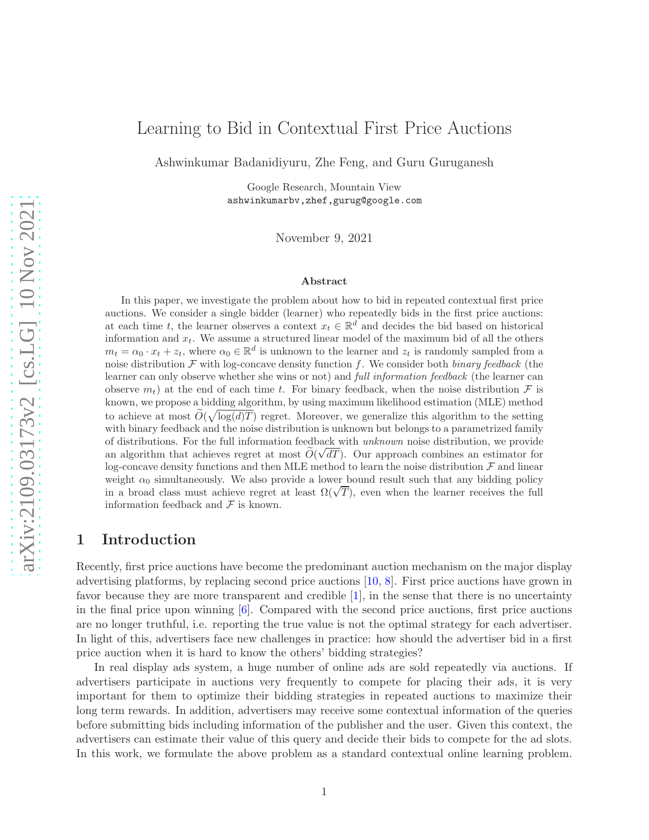# Learning to Bid in Contextual First Price Auctions

Ashwinkumar Badanidiyuru, Zhe Feng, and Guru Guruganesh

Google Research, Mountain View ashwinkumarbv,zhef,gurug@google.com

November 9, 2021

#### Abstract

In this paper, we investigate the problem about how to bid in repeated contextual first price auctions. We consider a single bidder (learner) who repeatedly bids in the first price auctions: at each time t, the learner observes a context  $x_t \in \mathbb{R}^d$  and decides the bid based on historical information and  $x_t$ . We assume a structured linear model of the maximum bid of all the others  $m_t = \alpha_0 \cdot x_t + z_t$ , where  $\alpha_0 \in \mathbb{R}^d$  is unknown to the learner and  $z_t$  is randomly sampled from a noise distribution  $\mathcal F$  with log-concave density function f. We consider both binary feedback (the learner can only observe whether she wins or not) and *full information feedback* (the learner can observe  $m_t$ ) at the end of each time t. For binary feedback, when the noise distribution F is known, we propose a bidding algorithm, by using maximum likelihood estimation (MLE) method to achieve at most  $\widetilde{O}(\sqrt{\log(d)T})$  regret. Moreover, we generalize this algorithm to the setting with binary feedback and the noise distribution is unknown but belongs to a parametrized family of distributions. For the full information feedback with unknown noise distribution, we provide an algorithm that achieves regret at most  $\tilde{O}(\sqrt{dT})$ . Our approach combines an estimator for log-concave density functions and then MLE method to learn the noise distribution  $\mathcal F$  and linear weight  $\alpha_0$  simultaneously. We also provide a lower bound result such that any bidding policy in a broad class must achieve regret at least  $\Omega(\sqrt{T})$ , even when the learner receives the full information feedback and  $\mathcal F$  is known.

### 1 Introduction

Recently, first price auctions have become the predominant auction mechanism on the major display advertising platforms, by replacing second price auctions [\[10](#page-11-0), [8\]](#page-11-1). First price auctions have grown in favor because they are more transparent and credible [\[1\]](#page-11-2), in the sense that there is no uncertainty in the final price upon winning [\[6](#page-11-3)]. Compared with the second price auctions, first price auctions are no longer truthful, i.e. reporting the true value is not the optimal strategy for each advertiser. In light of this, advertisers face new challenges in practice: how should the advertiser bid in a first price auction when it is hard to know the others' bidding strategies?

In real display ads system, a huge number of online ads are sold repeatedly via auctions. If advertisers participate in auctions very frequently to compete for placing their ads, it is very important for them to optimize their bidding strategies in repeated auctions to maximize their long term rewards. In addition, advertisers may receive some contextual information of the queries before submitting bids including information of the publisher and the user. Given this context, the advertisers can estimate their value of this query and decide their bids to compete for the ad slots. In this work, we formulate the above problem as a standard contextual online learning problem.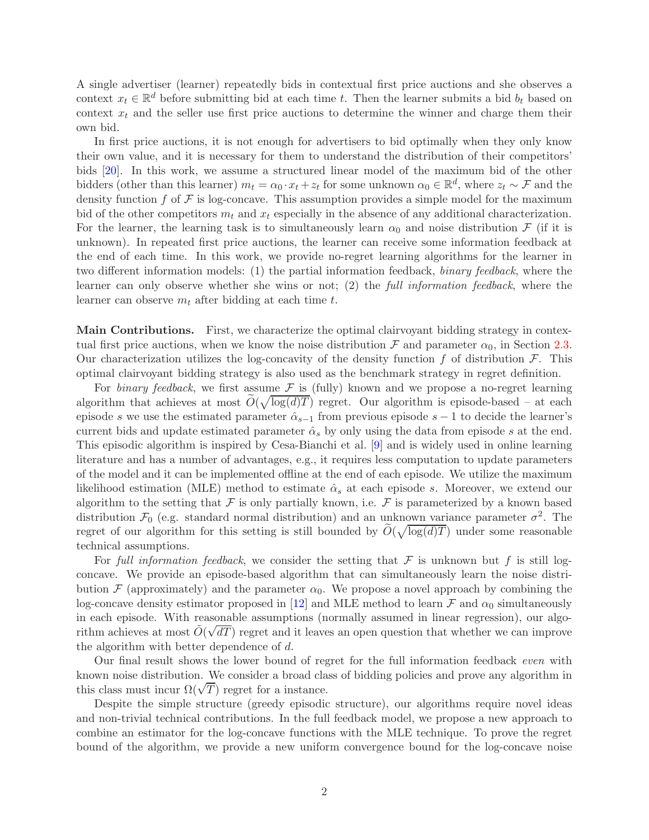A single advertiser (learner) repeatedly bids in contextual first price auctions and she observes a context  $x_t \in \mathbb{R}^d$  before submitting bid at each time t. Then the learner submits a bid  $b_t$  based on context  $x_t$  and the seller use first price auctions to determine the winner and charge them their own bid.

In first price auctions, it is not enough for advertisers to bid optimally when they only know their own value, and it is necessary for them to understand the distribution of their competitors' bids [\[20](#page-12-0)]. In this work, we assume a structured linear model of the maximum bid of the other bidders (other than this learner)  $m_t = \alpha_0 \cdot x_t + z_t$  for some unknown  $\alpha_0 \in \mathbb{R}^d$ , where  $z_t \sim \mathcal{F}$  and the density function f of  $\mathcal F$  is log-concave. This assumption provides a simple model for the maximum bid of the other competitors  $m_t$  and  $x_t$  especially in the absence of any additional characterization. For the learner, the learning task is to simultaneously learn  $\alpha_0$  and noise distribution F (if it is unknown). In repeated first price auctions, the learner can receive some information feedback at the end of each time. In this work, we provide no-regret learning algorithms for the learner in two different information models: (1) the partial information feedback, binary feedback, where the learner can only observe whether she wins or not; (2) the full information feedback, where the learner can observe  $m_t$  after bidding at each time t.

Main Contributions. First, we characterize the optimal clairvoyant bidding strategy in contextual first price auctions, when we know the noise distribution  $\mathcal F$  and parameter  $\alpha_0$ , in Section [2.3.](#page-4-0) Our characterization utilizes the log-concavity of the density function f of distribution  $\mathcal{F}$ . This optimal clairvoyant bidding strategy is also used as the benchmark strategy in regret definition.

For binary feedback, we first assume  $\mathcal F$  is (fully) known and we propose a no-regret learning algorithm that achieves at most  $\tilde{O}(\sqrt{\log(d)T})$  regret. Our algorithm is episode-based – at each episode s we use the estimated parameter  $\hat{\alpha}_{s-1}$  from previous episode s – 1 to decide the learner's current bids and update estimated parameter  $\hat{\alpha}_s$  by only using the data from episode s at the end. This episodic algorithm is inspired by Cesa-Bianchi et al. [\[9](#page-11-4)] and is widely used in online learning literature and has a number of advantages, e.g., it requires less computation to update parameters of the model and it can be implemented offline at the end of each episode. We utilize the maximum likelihood estimation (MLE) method to estimate  $\hat{\alpha}_s$  at each episode s. Moreover, we extend our algorithm to the setting that  $\mathcal F$  is only partially known, i.e.  $\mathcal F$  is parameterized by a known based distribution  $\mathcal{F}_0$  (e.g. standard normal distribution) and an unknown variance parameter  $\sigma^2$ . The regret of our algorithm for this setting is still bounded by  $\widetilde{O}(\sqrt{\log(d)T})$  under some reasonable technical assumptions.

For full information feedback, we consider the setting that  $\mathcal F$  is unknown but f is still logconcave. We provide an episode-based algorithm that can simultaneously learn the noise distribution F (approximately) and the parameter  $\alpha_0$ . We propose a novel approach by combining the log-concave density estimator proposed in [\[12](#page-11-5)] and MLE method to learn  $\mathcal F$  and  $\alpha_0$  simultaneously in each episode. With reasonable assumptions (normally assumed in linear regression), our algorithm achieves at most  $\tilde{O}(\sqrt{dT})$  regret and it leaves an open question that whether we can improve the algorithm with better dependence of d.

Our final result shows the lower bound of regret for the full information feedback even with known noise distribution. We consider a broad class of bidding policies and prove any algorithm in this class must incur  $\Omega(\sqrt{T})$  regret for a instance.

Despite the simple structure (greedy episodic structure), our algorithms require novel ideas and non-trivial technical contributions. In the full feedback model, we propose a new approach to combine an estimator for the log-concave functions with the MLE technique. To prove the regret bound of the algorithm, we provide a new uniform convergence bound for the log-concave noise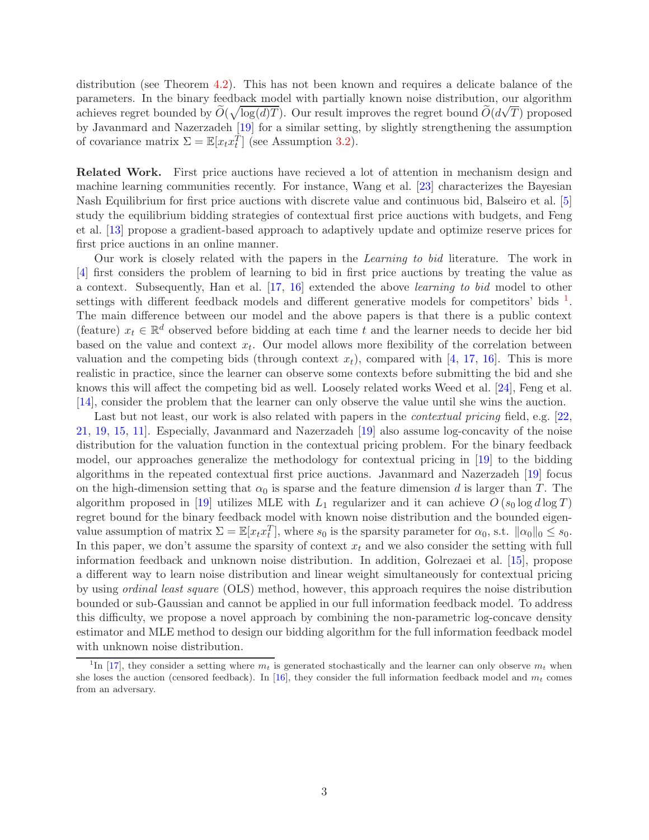distribution (see Theorem [4.2\)](#page-9-0). This has not been known and requires a delicate balance of the parameters. In the binary feedback model with partially known noise distribution, our algorithm achieves regret bounded by  $\widetilde{O}(\sqrt{\log(d)T})$ . Our result improves the regret bound  $\widetilde{O}(d\sqrt{T})$  proposed by Javanmard and Nazerzadeh [\[19](#page-12-1)] for a similar setting, by slightly strengthening the assumption of covariance matrix  $\Sigma = \mathbb{E}[x_t x_t^{\tilde{T}}]$  (see Assumption [3.2\)](#page-7-0).

Related Work. First price auctions have recieved a lot of attention in mechanism design and machine learning communities recently. For instance, Wang et al. [\[23\]](#page-12-2) characterizes the Bayesian Nash Equilibrium for first price auctions with discrete value and continuous bid, Balseiro et al. [\[5](#page-11-6)] study the equilibrium bidding strategies of contextual first price auctions with budgets, and Feng et al. [\[13](#page-11-7)] propose a gradient-based approach to adaptively update and optimize reserve prices for first price auctions in an online manner.

Our work is closely related with the papers in the Learning to bid literature. The work in [\[4](#page-11-8)] first considers the problem of learning to bid in first price auctions by treating the value as a context. Subsequently, Han et al. [\[17,](#page-12-3) [16](#page-12-4)] extended the above learning to bid model to other settings with different feedback models and different generative models for competitors' bids  $<sup>1</sup>$  $<sup>1</sup>$  $<sup>1</sup>$ .</sup> The main difference between our model and the above papers is that there is a public context (feature)  $x_t \in \mathbb{R}^d$  observed before bidding at each time t and the learner needs to decide her bid based on the value and context  $x_t$ . Our model allows more flexibility of the correlation between valuation and the competing bids (through context  $x_t$ ), compared with [\[4](#page-11-8), [17](#page-12-3), [16](#page-12-4)]. This is more realistic in practice, since the learner can observe some contexts before submitting the bid and she knows this will affect the competing bid as well. Loosely related works Weed et al. [\[24\]](#page-12-5), Feng et al. [\[14\]](#page-11-9), consider the problem that the learner can only observe the value until she wins the auction.

Last but not least, our work is also related with papers in the *contextual pricing* field, e.g. [\[22](#page-12-6), [21,](#page-12-7) [19,](#page-12-1) [15](#page-12-8), [11](#page-11-10)]. Especially, Javanmard and Nazerzadeh [\[19\]](#page-12-1) also assume log-concavity of the noise distribution for the valuation function in the contextual pricing problem. For the binary feedback model, our approaches generalize the methodology for contextual pricing in [\[19](#page-12-1)] to the bidding algorithms in the repeated contextual first price auctions. Javanmard and Nazerzadeh [\[19](#page-12-1)] focus on the high-dimension setting that  $\alpha_0$  is sparse and the feature dimension d is larger than T. The algorithm proposed in [\[19](#page-12-1)] utilizes MLE with  $L_1$  regularizer and it can achieve  $O(s_0 \log d \log T)$ regret bound for the binary feedback model with known noise distribution and the bounded eigenvalue assumption of matrix  $\Sigma = \mathbb{E}[x_t x_t^T]$ , where  $s_0$  is the sparsity parameter for  $\alpha_0$ , s.t.  $\|\alpha_0\|_0 \leq s_0$ . In this paper, we don't assume the sparsity of context  $x_t$  and we also consider the setting with full information feedback and unknown noise distribution. In addition, Golrezaei et al. [\[15\]](#page-12-8), propose a different way to learn noise distribution and linear weight simultaneously for contextual pricing by using ordinal least square (OLS) method, however, this approach requires the noise distribution bounded or sub-Gaussian and cannot be applied in our full information feedback model. To address this difficulty, we propose a novel approach by combining the non-parametric log-concave density estimator and MLE method to design our bidding algorithm for the full information feedback model with unknown noise distribution.

<span id="page-2-0"></span><sup>&</sup>lt;sup>1</sup>In [\[17](#page-12-3)], they consider a setting where  $m_t$  is generated stochastically and the learner can only observe  $m_t$  when she loses the auction (censored feedback). In [\[16](#page-12-4)], they consider the full information feedback model and  $m_t$  comes from an adversary.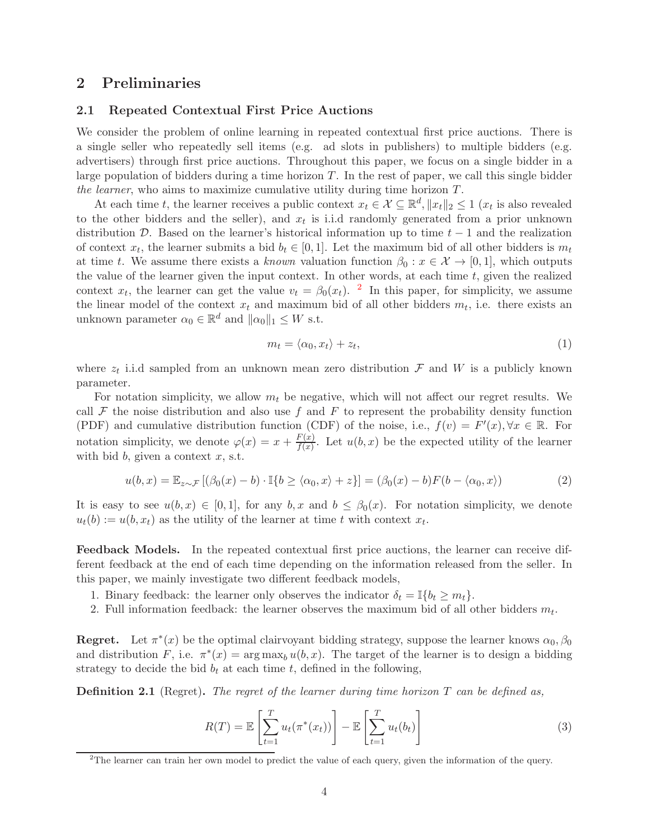### 2 Preliminaries

#### 2.1 Repeated Contextual First Price Auctions

We consider the problem of online learning in repeated contextual first price auctions. There is a single seller who repeatedly sell items (e.g. ad slots in publishers) to multiple bidders (e.g. advertisers) through first price auctions. Throughout this paper, we focus on a single bidder in a large population of bidders during a time horizon  $T$ . In the rest of paper, we call this single bidder the learner, who aims to maximize cumulative utility during time horizon T.

At each time t, the learner receives a public context  $x_t \in \mathcal{X} \subseteq \mathbb{R}^d$ ,  $||x_t||_2 \leq 1$  ( $x_t$  is also revealed to the other bidders and the seller), and  $x_t$  is i.i.d randomly generated from a prior unknown distribution D. Based on the learner's historical information up to time  $t - 1$  and the realization of context  $x_t$ , the learner submits a bid  $b_t \in [0,1]$ . Let the maximum bid of all other bidders is  $m_t$ at time t. We assume there exists a known valuation function  $\beta_0 : x \in \mathcal{X} \to [0,1]$ , which outputs the value of the learner given the input context. In other words, at each time  $t$ , given the realized context  $x_t$ , the learner can get the value  $v_t = \beta_0(x_t)$ . <sup>[2](#page-3-0)</sup> In this paper, for simplicity, we assume the linear model of the context  $x_t$  and maximum bid of all other bidders  $m_t$ , i.e. there exists an unknown parameter  $\alpha_0 \in \mathbb{R}^d$  and  $\|\alpha_0\|_1 \leq W$  s.t.

<span id="page-3-2"></span>
$$
m_t = \langle \alpha_0, x_t \rangle + z_t,\tag{1}
$$

where  $z_t$  i.i.d sampled from an unknown mean zero distribution  $\mathcal F$  and  $W$  is a publicly known parameter.

For notation simplicity, we allow  $m_t$  be negative, which will not affect our regret results. We call  $\mathcal F$  the noise distribution and also use f and F to represent the probability density function (PDF) and cumulative distribution function (CDF) of the noise, i.e.,  $f(v) = F'(x), \forall x \in \mathbb{R}$ . For notation simplicity, we denote  $\varphi(x) = x + \frac{F(x)}{f(x)}$  $\frac{f(x)}{f(x)}$ . Let  $u(b, x)$  be the expected utility of the learner with bid  $b$ , given a context  $x$ , s.t.

<span id="page-3-1"></span>
$$
u(b,x) = \mathbb{E}_{z \sim \mathcal{F}} \left[ (\beta_0(x) - b) \cdot \mathbb{I}\{b \ge \langle \alpha_0, x \rangle + z \} \right] = (\beta_0(x) - b)F(b - \langle \alpha_0, x \rangle) \tag{2}
$$

It is easy to see  $u(b, x) \in [0, 1]$ , for any  $b, x$  and  $b \leq \beta_0(x)$ . For notation simplicity, we denote  $u_t(b) := u(b, x_t)$  as the utility of the learner at time t with context  $x_t$ .

Feedback Models. In the repeated contextual first price auctions, the learner can receive different feedback at the end of each time depending on the information released from the seller. In this paper, we mainly investigate two different feedback models,

- 1. Binary feedback: the learner only observes the indicator  $\delta_t = \mathbb{I}\{b_t \geq m_t\}$ .
- 2. Full information feedback: the learner observes the maximum bid of all other bidders  $m_t$ .

**Regret.** Let  $\pi^*(x)$  be the optimal clairvoyant bidding strategy, suppose the learner knows  $\alpha_0, \beta_0$ and distribution F, i.e.  $\pi^*(x) = \arg \max_b u(b, x)$ . The target of the learner is to design a bidding strategy to decide the bid  $b_t$  at each time t, defined in the following,

**Definition 2.1** (Regret). The regret of the learner during time horizon  $T$  can be defined as,

$$
R(T) = \mathbb{E}\left[\sum_{t=1}^{T} u_t(\pi^*(x_t))\right] - \mathbb{E}\left[\sum_{t=1}^{T} u_t(b_t)\right]
$$
\n(3)

<span id="page-3-0"></span><sup>&</sup>lt;sup>2</sup>The learner can train her own model to predict the value of each query, given the information of the query.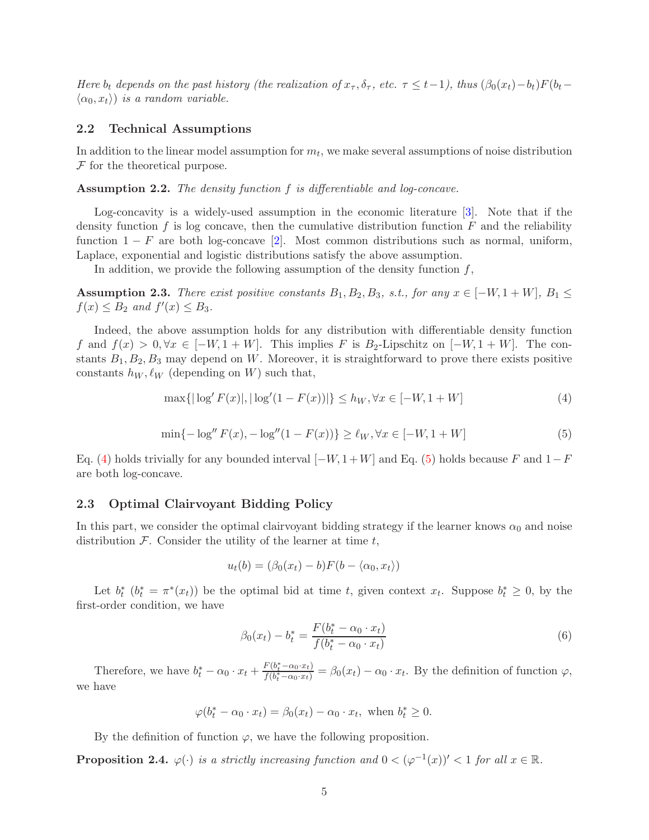Here  $b_t$  depends on the past history (the realization of  $x_\tau$ ,  $\delta_\tau$ , etc.  $\tau \leq t-1$ ), thus  $(\beta_0(x_t)-b_t)F(b_t-\tau)$  $\langle \alpha_0, x_t \rangle$  is a random variable.

#### 2.2 Technical Assumptions

In addition to the linear model assumption for  $m_t$ , we make several assumptions of noise distribution  $F$  for the theoretical purpose.

<span id="page-4-3"></span>Assumption 2.2. The density function f is differentiable and log-concave.

Log-concavity is a widely-used assumption in the economic literature [\[3\]](#page-11-11). Note that if the density function  $f$  is log concave, then the cumulative distribution function  $F$  and the reliability function  $1-F$  are both log-concave [\[2](#page-11-12)]. Most common distributions such as normal, uniform, Laplace, exponential and logistic distributions satisfy the above assumption.

In addition, we provide the following assumption of the density function  $f$ ,

<span id="page-4-4"></span>Assumption 2.3. There exist positive constants  $B_1, B_2, B_3$ , s.t., for any  $x \in [-W, 1 + W]$ ,  $B_1 \leq$  $f(x) \leq B_2$  and  $f'(x) \leq B_3$ .

Indeed, the above assumption holds for any distribution with differentiable density function f and  $f(x) > 0, \forall x \in [-W, 1 + W]$ . This implies F is B<sub>2</sub>-Lipschitz on  $[-W, 1 + W]$ . The constants  $B_1, B_2, B_3$  may depend on W. Moreover, it is straightforward to prove there exists positive constants  $h_W, \ell_W$  (depending on W) such that,

<span id="page-4-1"></span>
$$
\max\{|\log' F(x)|, |\log'(1 - F(x))|\} \le h_W, \forall x \in [-W, 1 + W]
$$
\n(4)

<span id="page-4-2"></span>
$$
\min\{-\log'' F(x), -\log''(1 - F(x))\} \ge \ell_W, \forall x \in [-W, 1 + W]
$$
\n(5)

Eq. [\(4\)](#page-4-1) holds trivially for any bounded interval  $[-W, 1+W]$  and Eq. [\(5\)](#page-4-2) holds because F and  $1-F$ are both log-concave.

#### <span id="page-4-0"></span>2.3 Optimal Clairvoyant Bidding Policy

In this part, we consider the optimal clairvoyant bidding strategy if the learner knows  $\alpha_0$  and noise distribution  $\mathcal F$ . Consider the utility of the learner at time  $t$ ,

$$
u_t(b) = (\beta_0(x_t) - b)F(b - \langle \alpha_0, x_t \rangle)
$$

Let  $b_t^*$   $(b_t^* = \pi^*(x_t))$  be the optimal bid at time t, given context  $x_t$ . Suppose  $b_t^* \geq 0$ , by the first-order condition, we have

$$
\beta_0(x_t) - b_t^* = \frac{F(b_t^* - \alpha_0 \cdot x_t)}{f(b_t^* - \alpha_0 \cdot x_t)}
$$
(6)

Therefore, we have  $b_t^* - \alpha_0 \cdot x_t + \frac{F(b_t^* - \alpha_0 \cdot x_t)}{f(b_t^* - \alpha_0 \cdot x_t)} = \beta_0(x_t) - \alpha_0 \cdot x_t$ . By the definition of function  $\varphi$ , we have

$$
\varphi(b_t^* - \alpha_0 \cdot x_t) = \beta_0(x_t) - \alpha_0 \cdot x_t, \text{ when } b_t^* \ge 0.
$$

By the definition of function  $\varphi$ , we have the following proposition.

**Proposition 2.4.**  $\varphi(\cdot)$  is a strictly increasing function and  $0 < (\varphi^{-1}(x))' < 1$  for all  $x \in \mathbb{R}$ .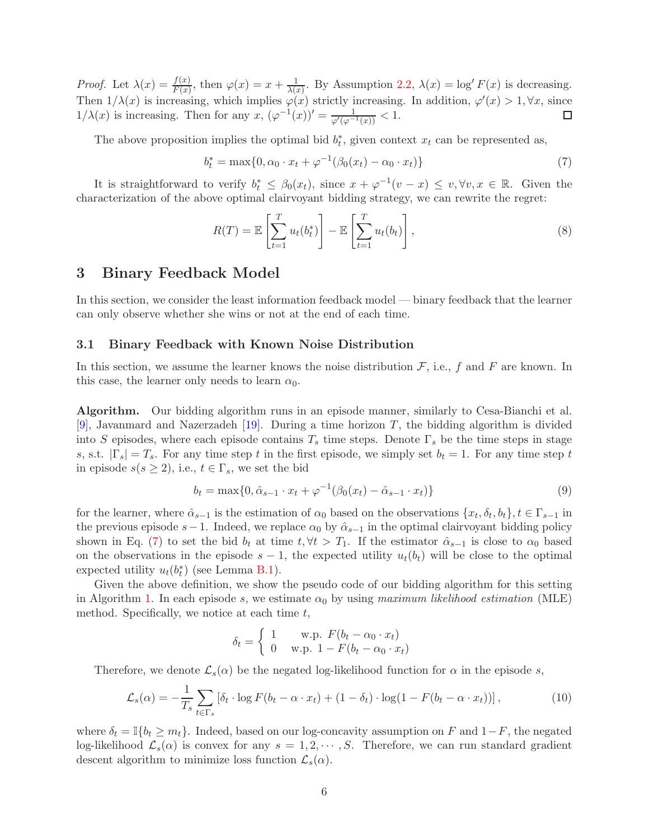*Proof.* Let  $\lambda(x) = \frac{f(x)}{F(x)}$ , then  $\varphi(x) = x + \frac{1}{\lambda(x)}$  $\frac{1}{\lambda(x)}$ . By Assumption [2.2,](#page-4-3)  $\lambda(x) = \log F(x)$  is decreasing. Then  $1/\lambda(x)$  is increasing, which implies  $\varphi(x)$  strictly increasing. In addition,  $\varphi'(x) > 1, \forall x$ , since  $1/\lambda(x)$  is increasing. Then for any  $x, (\varphi^{-1}(x))' = \frac{1}{\varphi'(\varphi^{-1}(x))} < 1.$ 

The above proposition implies the optimal bid  $b_t^*$ , given context  $x_t$  can be represented as,

<span id="page-5-0"></span>
$$
b_t^* = \max\{0, \alpha_0 \cdot x_t + \varphi^{-1}(\beta_0(x_t) - \alpha_0 \cdot x_t)\}\tag{7}
$$

It is straightforward to verify  $b_t^* \leq \beta_0(x_t)$ , since  $x + \varphi^{-1}(v - x) \leq v, \forall v, x \in \mathbb{R}$ . Given the characterization of the above optimal clairvoyant bidding strategy, we can rewrite the regret:

$$
R(T) = \mathbb{E}\left[\sum_{t=1}^{T} u_t(b_t^*)\right] - \mathbb{E}\left[\sum_{t=1}^{T} u_t(b_t)\right],\tag{8}
$$

### <span id="page-5-2"></span>3 Binary Feedback Model

In this section, we consider the least information feedback model — binary feedback that the learner can only observe whether she wins or not at the end of each time.

#### <span id="page-5-1"></span>3.1 Binary Feedback with Known Noise Distribution

In this section, we assume the learner knows the noise distribution  $\mathcal{F}$ , i.e., f and F are known. In this case, the learner only needs to learn  $\alpha_0$ .

Algorithm. Our bidding algorithm runs in an episode manner, similarly to Cesa-Bianchi et al. [\[9](#page-11-4)], Javanmard and Nazerzadeh [\[19\]](#page-12-1). During a time horizon T, the bidding algorithm is divided into S episodes, where each episode contains  $T_s$  time steps. Denote  $\Gamma_s$  be the time steps in stage s, s.t.  $|\Gamma_s| = T_s$ . For any time step t in the first episode, we simply set  $b_t = 1$ . For any time step t in episode  $s(s \geq 2)$ , i.e.,  $t \in \Gamma_s$ , we set the bid

$$
b_t = \max\{0, \hat{\alpha}_{s-1} \cdot x_t + \varphi^{-1}(\beta_0(x_t) - \hat{\alpha}_{s-1} \cdot x_t)\}\tag{9}
$$

for the learner, where  $\hat{\alpha}_{s-1}$  is the estimation of  $\alpha_0$  based on the observations  $\{x_t, \delta_t, b_t\}, t \in \Gamma_{s-1}$  in the previous episode s−1. Indeed, we replace  $\alpha_0$  by  $\hat{\alpha}_{s-1}$  in the optimal clairvoyant bidding policy shown in Eq. [\(7\)](#page-5-0) to set the bid  $b_t$  at time  $t, \forall t > T_1$ . If the estimator  $\hat{\alpha}_{s-1}$  is close to  $\alpha_0$  based on the observations in the episode  $s - 1$ , the expected utility  $u_t(b_t)$  will be close to the optimal expected utility  $u_t(b_t^*)$  (see Lemma [B.1\)](#page-13-0).

Given the above definition, we show the pseudo code of our bidding algorithm for this setting in Algorithm [1.](#page-6-0) In each episode s, we estimate  $\alpha_0$  by using maximum likelihood estimation (MLE) method. Specifically, we notice at each time  $t$ ,

$$
\delta_t = \begin{cases} 1 & \text{w.p. } F(b_t - \alpha_0 \cdot x_t) \\ 0 & \text{w.p. } 1 - F(b_t - \alpha_0 \cdot x_t) \end{cases}
$$

Therefore, we denote  $\mathcal{L}_s(\alpha)$  be the negated log-likelihood function for  $\alpha$  in the episode s,

$$
\mathcal{L}_s(\alpha) = -\frac{1}{T_s} \sum_{t \in \Gamma_s} \left[ \delta_t \cdot \log F(b_t - \alpha \cdot x_t) + (1 - \delta_t) \cdot \log(1 - F(b_t - \alpha \cdot x_t)) \right],\tag{10}
$$

where  $\delta_t = \mathbb{I}\{b_t \geq m_t\}$ . Indeed, based on our log-concavity assumption on F and  $1-F$ , the negated log-likelihood  $\mathcal{L}_s(\alpha)$  is convex for any  $s = 1, 2, \cdots, S$ . Therefore, we can run standard gradient descent algorithm to minimize loss function  $\mathcal{L}_s(\alpha)$ .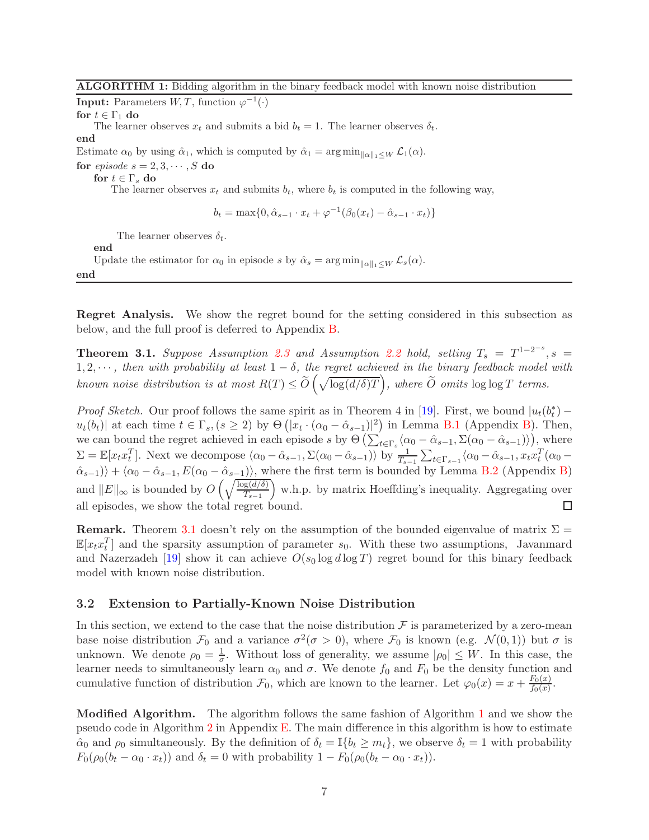**Input:** Parameters  $W, T$ , function  $\varphi^{-1}(\cdot)$ 

for  $t \in \Gamma_1$  do

The learner observes  $x_t$  and submits a bid  $b_t = 1$ . The learner observes  $\delta_t$ .

end

Estimate  $\alpha_0$  by using  $\hat{\alpha}_1$ , which is computed by  $\hat{\alpha}_1 = \arg \min_{\|\alpha\|_1 \leq W} \mathcal{L}_1(\alpha)$ .

for *episode*  $s = 2, 3, \cdots, S$  do

for  $t \in \Gamma_s$  do

The learner observes  $x_t$  and submits  $b_t$ , where  $b_t$  is computed in the following way,

$$
b_t = \max\{0, \hat{\alpha}_{s-1} \cdot x_t + \varphi^{-1}(\beta_0(x_t) - \hat{\alpha}_{s-1} \cdot x_t)\}\
$$

The learner observes  $\delta_t$ .

end

Update the estimator for  $\alpha_0$  in episode s by  $\hat{\alpha}_s = \arg \min_{\|\alpha\|_1 \leq W} \mathcal{L}_s(\alpha)$ .

<span id="page-6-0"></span>end

Regret Analysis. We show the regret bound for the setting considered in this subsection as below, and the full proof is deferred to Appendix [B.](#page-13-1)

<span id="page-6-1"></span>**Theorem 3.1.** Suppose Assumption [2.3](#page-4-4) and Assumption [2.2](#page-4-3) hold, setting  $T_s = T^{1-2^{-s}}$ ,  $s =$  $1, 2, \cdots$ , then with probability at least  $1 - \delta$ , the regret achieved in the binary feedback model with known noise distribution is at most  $R(T) \leq \widetilde{O}\left(\sqrt{\log(d/\delta)T}\right)$ , where  $\widetilde{O}$  omits  $\log \log T$  terms.

*Proof Sketch.* Our proof follows the same spirit as in Theorem 4 in [\[19\]](#page-12-1). First, we bound  $|u_t(b_t^*)$  $u_t(b_t)$  at each time  $t \in \Gamma_s$ ,  $(s \geq 2)$  by  $\Theta\left(|x_t \cdot (\alpha_0 - \hat{\alpha}_{s-1})|^2\right)$  in Lemma [B.1](#page-13-0) (Appendix [B\)](#page-13-1). Then, we can bound the regret achieved in each episode s by  $\Theta\left(\sum_{t \in \Gamma_s} (\alpha_0 - \hat{\alpha}_{s-1}, \Sigma(\alpha_0 - \hat{\alpha}_{s-1}))\right)$ , where  $\Sigma = \mathbb{E}[x_t x_t^T]$ . Next we decompose  $\langle \alpha_0 - \hat{\alpha}_{s-1}, \Sigma(\alpha_0 - \hat{\alpha}_{s-1}) \rangle$  by  $\frac{1}{T_{s-1}} \sum_{t \in \Gamma_{s-1}} \langle \alpha_0 - \hat{\alpha}_{s-1}, x_t x_t^T(\alpha_0 - \hat{\alpha}_{s-1}, x_t x_t^T(\alpha_0 - \hat{\alpha}_{s-1}, x_t x_t^T(\alpha_0 - \hat{\alpha}_{s-1}, x_t x_t^T(\alpha_0 - \hat{\alpha}_{s-1}, x_t x_t^T(\alpha_0 - \hat{\alpha}_{s-1}, x_t$  $\langle \hat{\alpha}_{s-1} \rangle$  +  $\langle \alpha_0 - \hat{\alpha}_{s-1}, E(\alpha_0 - \hat{\alpha}_{s-1}) \rangle$ , where the first term is bounded by Lemma [B.2](#page-14-0) (Appendix [B\)](#page-13-1) and  $||E||_{\infty}$  is bounded by  $O\left(\sqrt{\frac{\log(d/\delta)}{T_{s-1}}}\right)$  $T_{s-1}$  w.h.p. by matrix Hoeffding's inequality. Aggregating over all episodes, we show the total regret bound.

**Remark.** Theorem [3.1](#page-6-1) doesn't rely on the assumption of the bounded eigenvalue of matrix  $\Sigma$  =  $\mathbb{E}[x_t x_t^T]$  and the sparsity assumption of parameter  $s_0$ . With these two assumptions, Javanmard and Nazerzadeh [\[19\]](#page-12-1) show it can achieve  $O(s_0 \log d \log T)$  regret bound for this binary feedback model with known noise distribution.

#### <span id="page-6-2"></span>3.2 Extension to Partially-Known Noise Distribution

In this section, we extend to the case that the noise distribution  $\mathcal F$  is parameterized by a zero-mean base noise distribution  $\mathcal{F}_0$  and a variance  $\sigma^2(\sigma > 0)$ , where  $\mathcal{F}_0$  is known (e.g.  $\mathcal{N}(0, 1)$ ) but  $\sigma$  is unknown. We denote  $\rho_0 = \frac{1}{\sigma}$  $\frac{1}{\sigma}$ . Without loss of generality, we assume  $|\rho_0| \leq W$ . In this case, the learner needs to simultaneously learn  $\alpha_0$  and  $\sigma$ . We denote  $f_0$  and  $F_0$  be the density function and cumulative function of distribution  $\mathcal{F}_0$ , which are known to the learner. Let  $\varphi_0(x) = x + \frac{F_0(x)}{f_0(x)}$  $\frac{F_0(x)}{f_0(x)}$ .

Modified Algorithm. The algorithm follows the same fashion of Algorithm [1](#page-6-0) and we show the pseudo code in Algorithm [2](#page-28-0) in Appendix [E.](#page-28-1) The main difference in this algorithm is how to estimate  $\hat{\alpha}_0$  and  $\rho_0$  simultaneously. By the definition of  $\delta_t = \mathbb{I}\{b_t \geq m_t\}$ , we observe  $\delta_t = 1$  with probability  $F_0(\rho_0(b_t - \alpha_0 \cdot x_t))$  and  $\delta_t = 0$  with probability  $1 - F_0(\rho_0(b_t - \alpha_0 \cdot x_t)).$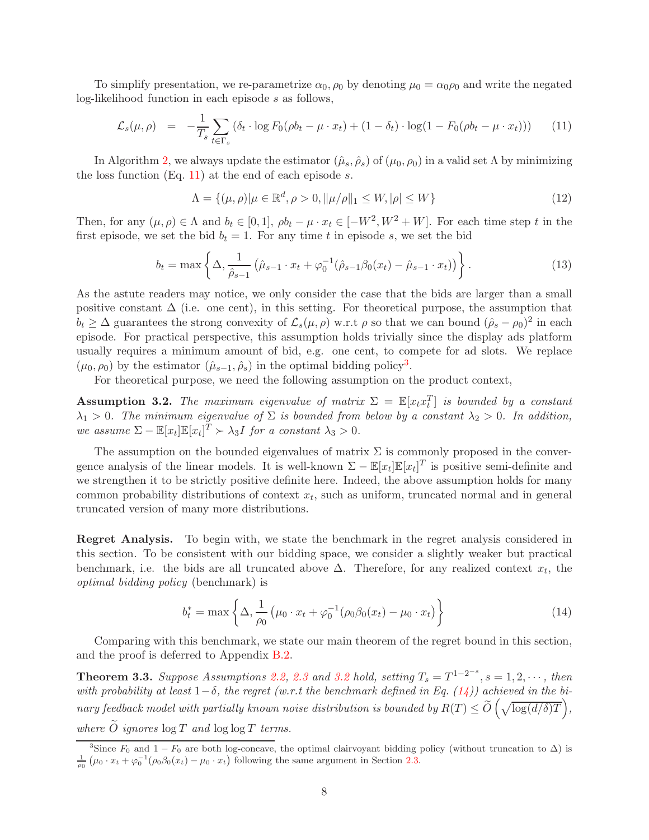To simplify presentation, we re-parametrize  $\alpha_0$ ,  $\rho_0$  by denoting  $\mu_0 = \alpha_0 \rho_0$  and write the negated log-likelihood function in each episode s as follows,

<span id="page-7-1"></span>
$$
\mathcal{L}_s(\mu,\rho) = -\frac{1}{T_s} \sum_{t \in \Gamma_s} \left( \delta_t \cdot \log F_0(\rho b_t - \mu \cdot x_t) + (1 - \delta_t) \cdot \log(1 - F_0(\rho b_t - \mu \cdot x_t)) \right) \tag{11}
$$

In Algorithm [2,](#page-28-0) we always update the estimator  $(\hat{\mu}_s, \hat{\rho}_s)$  of  $(\mu_0, \rho_0)$  in a valid set  $\Lambda$  by minimizing the loss function  $(Eq. 11)$  $(Eq. 11)$  at the end of each episode s.

$$
\Lambda = \{(\mu, \rho) | \mu \in \mathbb{R}^d, \rho > 0, ||\mu/\rho||_1 \le W, |\rho| \le W\}
$$
\n(12)

Then, for any  $(\mu, \rho) \in \Lambda$  and  $b_t \in [0, 1]$ ,  $\rho b_t - \mu \cdot x_t \in [-W^2, W^2 + W]$ . For each time step t in the first episode, we set the bid  $b_t = 1$ . For any time t in episode s, we set the bid

$$
b_t = \max\left\{\Delta, \frac{1}{\hat{\rho}_{s-1}}\left(\hat{\mu}_{s-1} \cdot x_t + \varphi_0^{-1}(\hat{\rho}_{s-1}\beta_0(x_t) - \hat{\mu}_{s-1} \cdot x_t)\right)\right\}.
$$
 (13)

As the astute readers may notice, we only consider the case that the bids are larger than a small positive constant  $\Delta$  (i.e. one cent), in this setting. For theoretical purpose, the assumption that  $b_t \geq \Delta$  guarantees the strong convexity of  $\mathcal{L}_s(\mu, \rho)$  w.r.t  $\rho$  so that we can bound  $(\hat{\rho}_s - \rho_0)^2$  in each episode. For practical perspective, this assumption holds trivially since the display ads platform usually requires a minimum amount of bid, e.g. one cent, to compete for ad slots. We replace  $(\mu_0, \rho_0)$  by the estimator  $(\hat{\mu}_{s-1}, \hat{\rho}_s)$  in the optimal bidding policy<sup>[3](#page-7-2)</sup>.

For theoretical purpose, we need the following assumption on the product context,

<span id="page-7-0"></span>**Assumption 3.2.** The maximum eigenvalue of matrix  $\Sigma = \mathbb{E}[x_t x_t^T]$  is bounded by a constant  $\lambda_1 > 0$ . The minimum eigenvalue of  $\Sigma$  is bounded from below by a constant  $\lambda_2 > 0$ . In addition, we assume  $\Sigma - \mathbb{E}[x_t] \mathbb{E}[x_t]^T \succ \lambda_3 I$  for a constant  $\lambda_3 > 0$ .

The assumption on the bounded eigenvalues of matrix  $\Sigma$  is commonly proposed in the convergence analysis of the linear models. It is well-known  $\Sigma - \mathbb{E}[x_t] \mathbb{E}[x_t]^T$  is positive semi-definite and we strengthen it to be strictly positive definite here. Indeed, the above assumption holds for many common probability distributions of context  $x_t$ , such as uniform, truncated normal and in general truncated version of many more distributions.

Regret Analysis. To begin with, we state the benchmark in the regret analysis considered in this section. To be consistent with our bidding space, we consider a slightly weaker but practical benchmark, i.e. the bids are all truncated above  $\Delta$ . Therefore, for any realized context  $x_t$ , the optimal bidding policy (benchmark) is

<span id="page-7-3"></span>
$$
b_t^* = \max\left\{\Delta, \frac{1}{\rho_0} \left(\mu_0 \cdot x_t + \varphi_0^{-1} (\rho_0 \beta_0(x_t) - \mu_0 \cdot x_t) \right)\right\}
$$
(14)

Comparing with this benchmark, we state our main theorem of the regret bound in this section, and the proof is deferred to Appendix [B.2.](#page-16-0)

<span id="page-7-4"></span>**Theorem 3.3.** Suppose Assumptions [2.2,](#page-4-3) [2.3](#page-4-4) and [3.2](#page-7-0) hold, setting  $T_s = T^{1-2^{-s}}$ ,  $s = 1, 2, \cdots$ , then with probability at least  $1-\delta$ , the regret (w.r.t the benchmark defined in Eq. [\(14\)](#page-7-3)) achieved in the binary feedback model with partially known noise distribution is bounded by  $R(T) \le \widetilde{O}\left(\sqrt{\log(d/\delta)T}\right)$ , where  $\widetilde{O}$  ignores  $\log T$  and  $\log \log T$  terms.

<span id="page-7-2"></span><sup>&</sup>lt;sup>3</sup>Since  $F_0$  and  $1 - F_0$  are both log-concave, the optimal clairvoyant bidding policy (without truncation to  $\Delta$ ) is 1  $\frac{1}{\rho_0}$   $(\mu_0 \cdot x_t + \varphi_0^{-1} (\rho_0 \beta_0(x_t) - \mu_0 \cdot x_t))$  following the same argument in Section [2.3.](#page-4-0)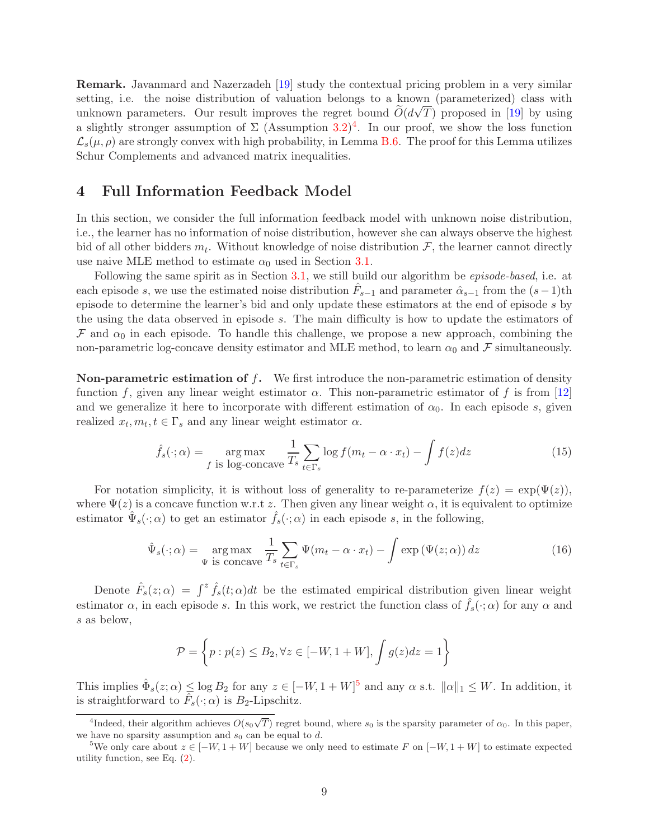Remark. Javanmard and Nazerzadeh [\[19\]](#page-12-1) study the contextual pricing problem in a very similar setting, i.e. the noise distribution of valuation belongs to a known (parameterized) class with unknown parameters. Our result improves the regret bound  $\tilde{O}(d\sqrt{T})$  proposed in [\[19](#page-12-1)] by using a slightly stronger assumption of  $\Sigma$  (Assumption  $3.2$ )<sup>[4](#page-8-0)</sup>. In our proof, we show the loss function  $\mathcal{L}_{s}(\mu,\rho)$  are strongly convex with high probability, in Lemma [B.6.](#page-17-0) The proof for this Lemma utilizes Schur Complements and advanced matrix inequalities.

### <span id="page-8-3"></span>4 Full Information Feedback Model

In this section, we consider the full information feedback model with unknown noise distribution, i.e., the learner has no information of noise distribution, however she can always observe the highest bid of all other bidders  $m_t$ . Without knowledge of noise distribution  $\mathcal{F}$ , the learner cannot directly use naive MLE method to estimate  $\alpha_0$  used in Section [3.1.](#page-5-1)

Following the same spirit as in Section [3.1,](#page-5-1) we still build our algorithm be *episode-based*, i.e. at each episode s, we use the estimated noise distribution  $\hat{F}_{s-1}$  and parameter  $\hat{\alpha}_{s-1}$  from the  $(s-1)$ th episode to determine the learner's bid and only update these estimators at the end of episode s by the using the data observed in episode s. The main difficulty is how to update the estimators of  $\mathcal F$  and  $\alpha_0$  in each episode. To handle this challenge, we propose a new approach, combining the non-parametric log-concave density estimator and MLE method, to learn  $\alpha_0$  and  $\mathcal F$  simultaneously.

**Non-parametric estimation of f.** We first introduce the non-parametric estimation of density function f, given any linear weight estimator  $\alpha$ . This non-parametric estimator of f is from [\[12](#page-11-5)] and we generalize it here to incorporate with different estimation of  $\alpha_0$ . In each episode s, given realized  $x_t, m_t, t \in \Gamma_s$  and any linear weight estimator  $\alpha$ .

<span id="page-8-2"></span>
$$
\hat{f}_s(\cdot; \alpha) = \operatorname*{arg\,max}_{f \text{ is log-concave}} \frac{1}{T_s} \sum_{t \in \Gamma_s} \log f(m_t - \alpha \cdot x_t) - \int f(z) dz \tag{15}
$$

For notation simplicity, it is without loss of generality to re-parameterize  $f(z) = \exp(\Psi(z))$ , where  $\Psi(z)$  is a concave function w.r.t z. Then given any linear weight  $\alpha$ , it is equivalent to optimize estimator  $\hat{\Psi}_s(\cdot; \alpha)$  to get an estimator  $\hat{f}_s(\cdot; \alpha)$  in each episode s, in the following,

$$
\hat{\Psi}_s(\cdot;\alpha) = \underset{\Psi \text{ is concave}}{\arg \max} \frac{1}{T_s} \sum_{t \in \Gamma_s} \Psi(m_t - \alpha \cdot x_t) - \int \exp(\Psi(z;\alpha)) dz \tag{16}
$$

Denote  $\hat{F}_s(z;\alpha) = \int^z \hat{f}_s(t;\alpha)dt$  be the estimated empirical distribution given linear weight estimator  $\alpha$ , in each episode s. In this work, we restrict the function class of  $\hat{f}_s(\cdot;\alpha)$  for any  $\alpha$  and s as below,

$$
\mathcal{P} = \left\{ p : p(z) \le B_2, \forall z \in [-W, 1+W], \int g(z)dz = 1 \right\}
$$

This implies  $\hat{\Phi}_s(z;\alpha) \leq \log B_2$  for any  $z \in [-W, 1+W]^5$  $z \in [-W, 1+W]^5$  and any  $\alpha$  s.t.  $||\alpha||_1 \leq W$ . In addition, it is straightforward to  $\hat{F}_s(\cdot; \alpha)$  is  $B_2$ -Lipschitz.

<span id="page-8-0"></span><sup>&</sup>lt;sup>4</sup>Indeed, their algorithm achieves  $\widehat{O(s_0\sqrt{T})}$  regret bound, where  $s_0$  is the sparsity parameter of  $\alpha_0$ . In this paper, we have no sparsity assumption and  $s_0$  can be equal to d.

<span id="page-8-1"></span><sup>&</sup>lt;sup>5</sup>We only care about  $z \in [-W, 1+W]$  because we only need to estimate F on  $[-W, 1+W]$  to estimate expected utility function, see Eq. [\(2\)](#page-3-1).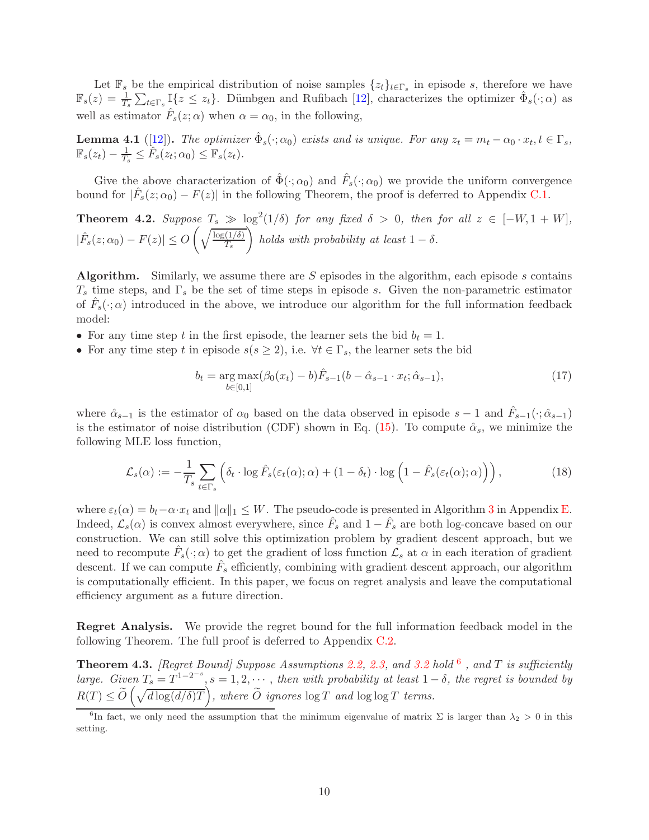Let  $\mathbb{F}_s$  be the empirical distribution of noise samples  $\{z_t\}_{t\in\Gamma_s}$  in episode s, therefore we have  $\mathbb{F}_s(z) = \frac{1}{T_s} \sum_{t \in \Gamma_s} \mathbb{I}\{z \leq z_t\}.$  Dümbgen and Rufibach [\[12](#page-11-5)], characterizes the optimizer  $\hat{\Phi}_s(\cdot; \alpha)$  as well as estimator  $\hat{F}_s(z;\alpha)$  when  $\alpha = \alpha_0$ , in the following,

<span id="page-9-2"></span>**Lemma 4.1** ([\[12](#page-11-5)]). The optimizer  $\hat{\Phi}_s(\cdot; \alpha_0)$  exists and is unique. For any  $z_t = m_t - \alpha_0 \cdot x_t, t \in \Gamma_s$ ,  $\mathbb{F}_s(z_t) - \frac{1}{T_s}$  $\frac{1}{T_s} \leq \hat{F}_s(z_t; \alpha_0) \leq \mathbb{F}_s(z_t).$ 

Give the above characterization of  $\hat{\Phi}(\cdot;\alpha_0)$  and  $\hat{F}_s(\cdot;\alpha_0)$  we provide the uniform convergence bound for  $|\hat{F}_s(z;\alpha_0) - F(z)|$  in the following Theorem, the proof is deferred to Appendix [C.1.](#page-20-0)

<span id="page-9-0"></span>**Theorem 4.2.** Suppose  $T_s \gg \log^2(1/\delta)$  for any fixed  $\delta > 0$ , then for all  $z \in [-W, 1 + W]$ ,  $|\hat{F}_s(z;\alpha_0) - F(z)| \leq O$  $\int\sqrt{\log(1/\delta)}$  $T_{s}$  $\setminus$ holds with probability at least  $1 - \delta$ .

**Algorithm.** Similarly, we assume there are S episodes in the algorithm, each episode s contains  $T_s$  time steps, and  $\Gamma_s$  be the set of time steps in episode s. Given the non-parametric estimator of  $\hat{F}_s(\cdot; \alpha)$  introduced in the above, we introduce our algorithm for the full information feedback model:

- For any time step t in the first episode, the learner sets the bid  $b_t = 1$ .
- For any time step t in episode  $s(s \geq 2)$ , i.e.  $\forall t \in \Gamma_s$ , the learner sets the bid

$$
b_t = \underset{b \in [0,1]}{\arg \max} (\beta_0(x_t) - b) \hat{F}_{s-1}(b - \hat{\alpha}_{s-1} \cdot x_t; \hat{\alpha}_{s-1}),
$$
\n(17)

where  $\hat{\alpha}_{s-1}$  is the estimator of  $\alpha_0$  based on the data observed in episode  $s-1$  and  $\hat{F}_{s-1}(\cdot;\hat{\alpha}_{s-1})$ is the estimator of noise distribution (CDF) shown in Eq. [\(15\)](#page-8-2). To compute  $\hat{\alpha}_s$ , we minimize the following MLE loss function,

<span id="page-9-4"></span>
$$
\mathcal{L}_s(\alpha) := -\frac{1}{T_s} \sum_{t \in \Gamma_s} \left( \delta_t \cdot \log \hat{F}_s(\varepsilon_t(\alpha); \alpha) + (1 - \delta_t) \cdot \log \left( 1 - \hat{F}_s(\varepsilon_t(\alpha); \alpha) \right) \right),\tag{18}
$$

where  $\varepsilon_t(\alpha) = b_t - \alpha \cdot x_t$  and  $\|\alpha\|_1 \leq W$ . The pseudo-code is presented in Algorithm [3](#page-29-0) in Appendix [E.](#page-28-1) Indeed,  $\mathcal{L}_s(\alpha)$  is convex almost everywhere, since  $\hat{F}_s$  and  $1-\hat{F}_s$  are both log-concave based on our construction. We can still solve this optimization problem by gradient descent approach, but we need to recompute  $\hat{F}_s(\cdot;\alpha)$  to get the gradient of loss function  $\mathcal{L}_s$  at  $\alpha$  in each iteration of gradient descent. If we can compute  $\hat{F}_s$  efficiently, combining with gradient descent approach, our algorithm is computationally efficient. In this paper, we focus on regret analysis and leave the computational efficiency argument as a future direction.

Regret Analysis. We provide the regret bound for the full information feedback model in the following Theorem. The full proof is deferred to Appendix [C.2.](#page-21-0)

<span id="page-9-3"></span>**Theorem 4.3.** [Regret Bound] Suppose Assumptions [2.2,](#page-4-3) [2.3,](#page-4-4) and [3.2](#page-7-0) hold  $^6$  $^6$  , and T is sufficiently large. Given  $T_s = T^{1-2-s}$ ,  $s = 1, 2, \cdots$ , then with probability at least  $1-\delta$ , the regret is bounded by  $R(T) \le \widetilde{O}\left(\sqrt{d\log(d/\delta)T}\right)$ , where  $\widetilde{O}$  ignores  $\log T$  and  $\log \log T$  terms.

<span id="page-9-1"></span><sup>&</sup>lt;sup>6</sup>In fact, we only need the assumption that the minimum eigenvalue of matrix  $\Sigma$  is larger than  $\lambda_2 > 0$  in this setting.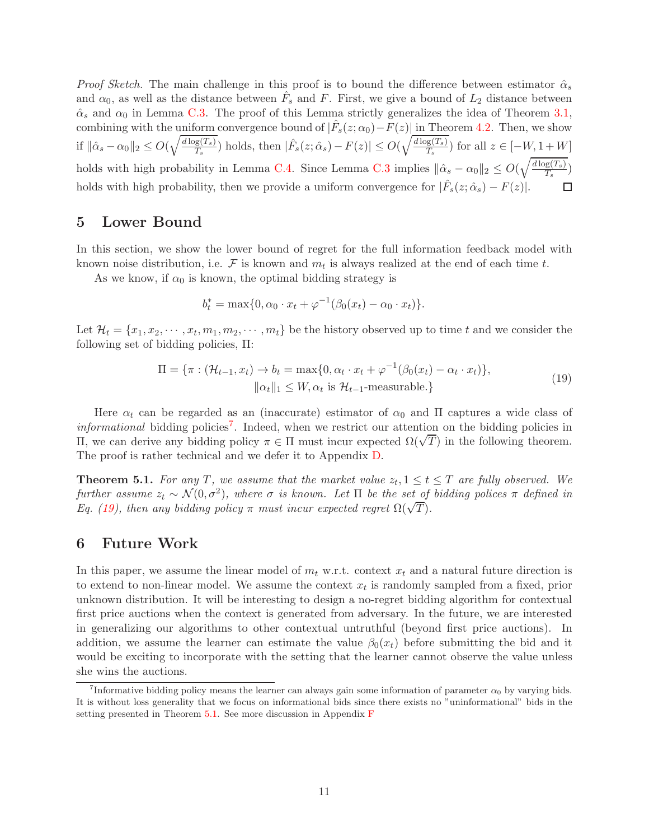*Proof Sketch.* The main challenge in this proof is to bound the difference between estimator  $\hat{\alpha}_s$ and  $\alpha_0$ , as well as the distance between  $\hat{F}_s$  and F. First, we give a bound of  $L_2$  distance between  $\hat{\alpha}_s$  and  $\alpha_0$  in Lemma [C.3.](#page-21-1) The proof of this Lemma strictly generalizes the idea of Theorem [3.1,](#page-6-1) combining with the uniform convergence bound of  $|\hat{F}_s(z;\alpha_0) - F(z)|$  in Theorem [4.2.](#page-9-0) Then, we show if  $\|\hat{\alpha}_s - \alpha_0\|_2 \leq O(\sqrt{\frac{d \log(T_s)}{T_s}})$  $\frac{\overline{g(T_s)}}{T_s}$ ) holds, then  $|\hat{F}_s(z; \hat{\alpha}_s) - F(z)| \leq O(\sqrt{\frac{d \log(T_s)}{T_s}})$  $\frac{g(I_s)}{T_s}$  for all  $z \in [-W, 1+W]$ holds with high probability in Lemma [C.4.](#page-23-0) Since Lemma [C.3](#page-21-1) implies  $\|\hat{\alpha}_s - \alpha_0\|_2 \le O(\sqrt{\frac{d \log(T_s)}{T_s}})$  $\frac{P(S(I|s))}{T_s}$ holds with high probability, then we provide a uniform convergence for  $|\hat{F}_s(z; \hat{\alpha}_s) - F(z)|$ . □

### <span id="page-10-3"></span>5 Lower Bound

In this section, we show the lower bound of regret for the full information feedback model with known noise distribution, i.e.  $\mathcal F$  is known and  $m_t$  is always realized at the end of each time t.

As we know, if  $\alpha_0$  is known, the optimal bidding strategy is

<span id="page-10-1"></span>
$$
b_t^* = \max\{0, \alpha_0 \cdot x_t + \varphi^{-1}(\beta_0(x_t) - \alpha_0 \cdot x_t)\}.
$$

Let  $\mathcal{H}_t = \{x_1, x_2, \cdots, x_t, m_1, m_2, \cdots, m_t\}$  be the history observed up to time t and we consider the following set of bidding policies, Π:

$$
\Pi = \{\pi : (\mathcal{H}_{t-1}, x_t) \to b_t = \max\{0, \alpha_t \cdot x_t + \varphi^{-1}(\beta_0(x_t) - \alpha_t \cdot x_t)\},\
$$
  

$$
\|\alpha_t\|_1 \le W, \alpha_t \text{ is } \mathcal{H}_{t-1}\text{-measurable.}\}
$$
 (19)

Here  $\alpha_t$  can be regarded as an (inaccurate) estimator of  $\alpha_0$  and  $\Pi$  captures a wide class of *informational* bidding policies<sup>[7](#page-10-0)</sup>. Indeed, when we restrict our attention on the bidding policies in  $\Pi$ , we can derive any bidding policy  $\pi \in \Pi$  must incur expected  $\Omega(\sqrt{T})$  in the following theorem. The proof is rather technical and we defer it to Appendix [D.](#page-25-0)

<span id="page-10-2"></span>**Theorem 5.1.** For any T, we assume that the market value  $z_t, 1 \le t \le T$  are fully observed. We further assume  $z_t \sim \mathcal{N}(0, \sigma^2)$ , where  $\sigma$  is known. Let  $\Pi$  be the set of bidding polices  $\pi$  defined in Eq. [\(19\)](#page-10-1), then any bidding policy  $\pi$  must incur expected regret  $\Omega(\sqrt{T})$ .

### 6 Future Work

In this paper, we assume the linear model of  $m_t$  w.r.t. context  $x_t$  and a natural future direction is to extend to non-linear model. We assume the context  $x_t$  is randomly sampled from a fixed, prior unknown distribution. It will be interesting to design a no-regret bidding algorithm for contextual first price auctions when the context is generated from adversary. In the future, we are interested in generalizing our algorithms to other contextual untruthful (beyond first price auctions). In addition, we assume the learner can estimate the value  $\beta_0(x_t)$  before submitting the bid and it would be exciting to incorporate with the setting that the learner cannot observe the value unless she wins the auctions.

<span id="page-10-0"></span><sup>&</sup>lt;sup>7</sup>Informative bidding policy means the learner can always gain some information of parameter  $\alpha_0$  by varying bids. It is without loss generality that we focus on informational bids since there exists no "uninformational" bids in the setting presented in Theorem [5.1.](#page-10-2) See more discussion in Appendix [F](#page-28-2)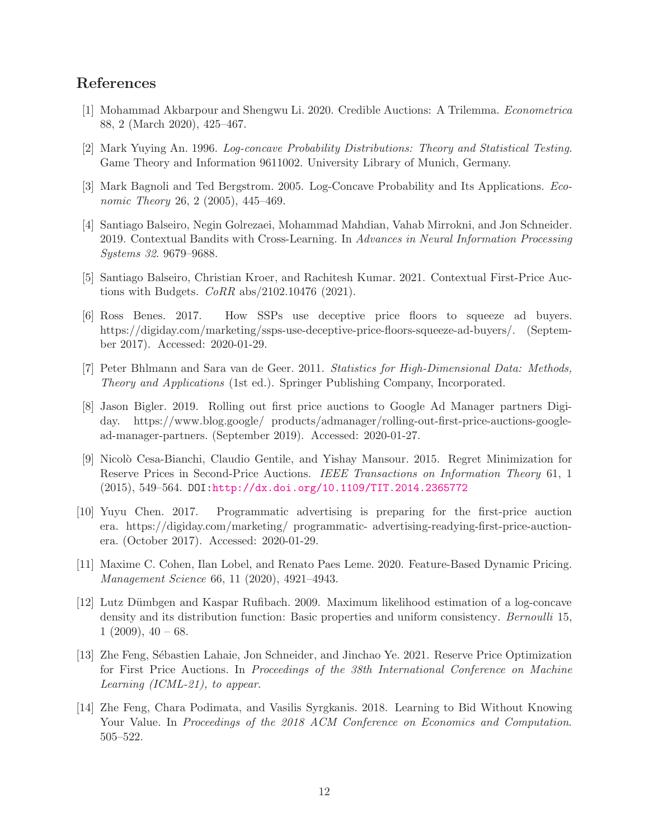## References

- <span id="page-11-2"></span>[1] Mohammad Akbarpour and Shengwu Li. 2020. Credible Auctions: A Trilemma. Econometrica 88, 2 (March 2020), 425–467.
- <span id="page-11-12"></span>[2] Mark Yuying An. 1996. Log-concave Probability Distributions: Theory and Statistical Testing. Game Theory and Information 9611002. University Library of Munich, Germany.
- <span id="page-11-11"></span>[3] Mark Bagnoli and Ted Bergstrom. 2005. Log-Concave Probability and Its Applications. Economic Theory 26, 2 (2005), 445–469.
- <span id="page-11-8"></span>[4] Santiago Balseiro, Negin Golrezaei, Mohammad Mahdian, Vahab Mirrokni, and Jon Schneider. 2019. Contextual Bandits with Cross-Learning. In Advances in Neural Information Processing Systems 32. 9679–9688.
- <span id="page-11-6"></span>[5] Santiago Balseiro, Christian Kroer, and Rachitesh Kumar. 2021. Contextual First-Price Auctions with Budgets. CoRR abs/2102.10476 (2021).
- <span id="page-11-3"></span>[6] Ross Benes. 2017. How SSPs use deceptive price floors to squeeze ad buyers. https://digiday.com/marketing/ssps-use-deceptive-price-floors-squeeze-ad-buyers/. (September 2017). Accessed: 2020-01-29.
- <span id="page-11-13"></span>[7] Peter Bhlmann and Sara van de Geer. 2011. Statistics for High-Dimensional Data: Methods, Theory and Applications (1st ed.). Springer Publishing Company, Incorporated.
- <span id="page-11-1"></span>[8] Jason Bigler. 2019. Rolling out first price auctions to Google Ad Manager partners Digiday. https://www.blog.google/ products/admanager/rolling-out-first-price-auctions-googlead-manager-partners. (September 2019). Accessed: 2020-01-27.
- <span id="page-11-4"></span>[9] Nicol`o Cesa-Bianchi, Claudio Gentile, and Yishay Mansour. 2015. Regret Minimization for Reserve Prices in Second-Price Auctions. IEEE Transactions on Information Theory 61, 1 (2015), 549–564. DOI[:http://dx.doi.org/10.1109/TIT.2014.2365772](http://dx.doi.org/10.1109/TIT.2014.2365772)
- <span id="page-11-0"></span>[10] Yuyu Chen. 2017. Programmatic advertising is preparing for the first-price auction era. https://digiday.com/marketing/ programmatic- advertising-readying-first-price-auctionera. (October 2017). Accessed: 2020-01-29.
- <span id="page-11-10"></span>[11] Maxime C. Cohen, Ilan Lobel, and Renato Paes Leme. 2020. Feature-Based Dynamic Pricing. Management Science 66, 11 (2020), 4921–4943.
- <span id="page-11-5"></span>[12] Lutz D¨umbgen and Kaspar Rufibach. 2009. Maximum likelihood estimation of a log-concave density and its distribution function: Basic properties and uniform consistency. Bernoulli 15,  $1(2009), 40 - 68.$
- <span id="page-11-7"></span>[13] Zhe Feng, Sébastien Lahaie, Jon Schneider, and Jinchao Ye. 2021. Reserve Price Optimization for First Price Auctions. In Proceedings of the 38th International Conference on Machine Learning (ICML-21), to appear.
- <span id="page-11-9"></span>[14] Zhe Feng, Chara Podimata, and Vasilis Syrgkanis. 2018. Learning to Bid Without Knowing Your Value. In Proceedings of the 2018 ACM Conference on Economics and Computation. 505–522.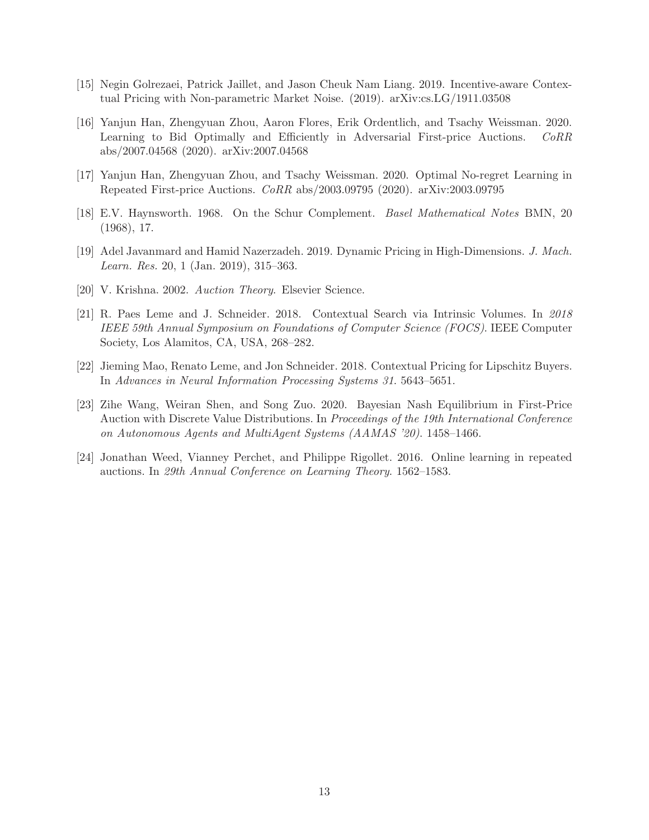- <span id="page-12-8"></span>[15] Negin Golrezaei, Patrick Jaillet, and Jason Cheuk Nam Liang. 2019. Incentive-aware Contextual Pricing with Non-parametric Market Noise. (2019). arXiv:cs.LG/1911.03508
- <span id="page-12-4"></span>[16] Yanjun Han, Zhengyuan Zhou, Aaron Flores, Erik Ordentlich, and Tsachy Weissman. 2020. Learning to Bid Optimally and Efficiently in Adversarial First-price Auctions. CoRR abs/2007.04568 (2020). arXiv:2007.04568
- <span id="page-12-3"></span>[17] Yanjun Han, Zhengyuan Zhou, and Tsachy Weissman. 2020. Optimal No-regret Learning in Repeated First-price Auctions. CoRR abs/2003.09795 (2020). arXiv:2003.09795
- <span id="page-12-9"></span>[18] E.V. Haynsworth. 1968. On the Schur Complement. Basel Mathematical Notes BMN, 20 (1968), 17.
- <span id="page-12-1"></span>[19] Adel Javanmard and Hamid Nazerzadeh. 2019. Dynamic Pricing in High-Dimensions. J. Mach. Learn. Res. 20, 1 (Jan. 2019), 315–363.
- <span id="page-12-0"></span>[20] V. Krishna. 2002. Auction Theory. Elsevier Science.
- <span id="page-12-7"></span>[21] R. Paes Leme and J. Schneider. 2018. Contextual Search via Intrinsic Volumes. In 2018 IEEE 59th Annual Symposium on Foundations of Computer Science (FOCS). IEEE Computer Society, Los Alamitos, CA, USA, 268–282.
- <span id="page-12-6"></span>[22] Jieming Mao, Renato Leme, and Jon Schneider. 2018. Contextual Pricing for Lipschitz Buyers. In Advances in Neural Information Processing Systems 31. 5643–5651.
- <span id="page-12-2"></span>[23] Zihe Wang, Weiran Shen, and Song Zuo. 2020. Bayesian Nash Equilibrium in First-Price Auction with Discrete Value Distributions. In Proceedings of the 19th International Conference on Autonomous Agents and MultiAgent Systems (AAMAS '20). 1458–1466.
- <span id="page-12-5"></span>[24] Jonathan Weed, Vianney Perchet, and Philippe Rigollet. 2016. Online learning in repeated auctions. In 29th Annual Conference on Learning Theory. 1562–1583.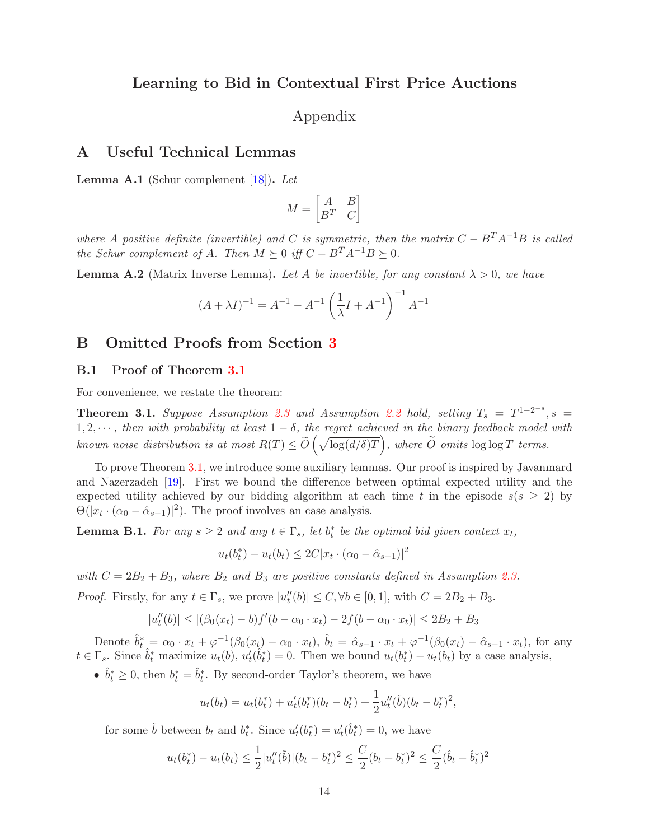## Learning to Bid in Contextual First Price Auctions

Appendix

### A Useful Technical Lemmas

<span id="page-13-2"></span>**Lemma A.1** (Schur complement  $[18]$ ). Let

$$
M = \begin{bmatrix} A & B \\ B^T & C \end{bmatrix}
$$

where A positive definite (invertible) and C is symmetric, then the matrix  $C - B^{T}A^{-1}B$  is called the Schur complement of A. Then  $M \succeq 0$  iff  $C - B^{T}A^{-1}B \succeq 0$ .

<span id="page-13-3"></span>**Lemma A.2** (Matrix Inverse Lemma). Let A be invertible, for any constant  $\lambda > 0$ , we have

$$
(A + \lambda I)^{-1} = A^{-1} - A^{-1} \left(\frac{1}{\lambda}I + A^{-1}\right)^{-1} A^{-1}
$$

### <span id="page-13-1"></span>B Omitted Proofs from Section [3](#page-5-2)

#### B.1 Proof of Theorem [3.1](#page-6-1)

For convenience, we restate the theorem:

**Theorem 3.1.** Suppose Assumption [2.3](#page-4-4) and Assumption [2.2](#page-4-3) hold, setting  $T_s = T^{1-2^{-s}}$ ,  $s =$ 1, 2,  $\cdots$ , then with probability at least 1 –  $\delta$ , the regret achieved in the binary feedback model with known noise distribution is at most  $R(T) \leq \widetilde{O}\left(\sqrt{\log(d/\delta)T}\right)$ , where  $\widetilde{O}$  omits  $\log \log T$  terms.

To prove Theorem [3.1,](#page-6-1) we introduce some auxiliary lemmas. Our proof is inspired by Javanmard and Nazerzadeh [\[19\]](#page-12-1). First we bound the difference between optimal expected utility and the expected utility achieved by our bidding algorithm at each time t in the episode  $s(s \geq 2)$  by  $\Theta(|x_t \cdot (\alpha_0 - \hat{\alpha}_{s-1})|^2)$ . The proof involves an case analysis.

<span id="page-13-0"></span>**Lemma B.1.** For any  $s \geq 2$  and any  $t \in \Gamma_s$ , let  $b_t^*$  be the optimal bid given context  $x_t$ ,

$$
u_t(b_t^*) - u_t(b_t) \le 2C|x_t \cdot (\alpha_0 - \hat{\alpha}_{s-1})|^2
$$

with  $C = 2B_2 + B_3$ , where  $B_2$  and  $B_3$  are positive constants defined in Assumption [2.3.](#page-4-4)

*Proof.* Firstly, for any  $t \in \Gamma_s$ , we prove  $|u''_t(b)| \le C, \forall b \in [0,1]$ , with  $C = 2B_2 + B_3$ .

$$
|u''_t(b)| \le |(\beta_0(x_t) - b)f'(b - \alpha_0 \cdot x_t) - 2f(b - \alpha_0 \cdot x_t)| \le 2B_2 + B_3
$$

Denote  $\hat{b}_{t}^{*} = \alpha_{0} \cdot x_{t} + \varphi^{-1}(\beta_{0}(x_{t}) - \alpha_{0} \cdot x_{t}), \ \hat{b}_{t} = \hat{\alpha}_{s-1} \cdot x_{t} + \varphi^{-1}(\beta_{0}(x_{t}) - \hat{\alpha}_{s-1} \cdot x_{t}),$  for any  $t \in \Gamma_s$ . Since  $\hat{b}_t^*$  maximize  $u_t(b)$ ,  $u'_t(\hat{b}_t^*) = 0$ . Then we bound  $u_t(b_t^*) - u_t(b_t)$  by a case analysis,

•  $\hat{b}_t^* \geq 0$ , then  $b_t^* = \hat{b}_t^*$ . By second-order Taylor's theorem, we have

$$
u_t(b_t) = u_t(b_t^*) + u'_t(b_t^*)(b_t - b_t^*) + \frac{1}{2}u''_t(\tilde{b})(b_t - b_t^*)^2,
$$

for some  $\tilde{b}$  between  $b_t$  and  $b_t^*$ . Since  $u'_t(b_t^*) = u'_t(\hat{b}_t^*) = 0$ , we have

$$
u_t(b_t^*) - u_t(b_t) \le \frac{1}{2} |u_t''(\tilde{b})|(b_t - b_t^*)^2 \le \frac{C}{2}(b_t - b_t^*)^2 \le \frac{C}{2}(\hat{b}_t - \hat{b}_t^*)^2
$$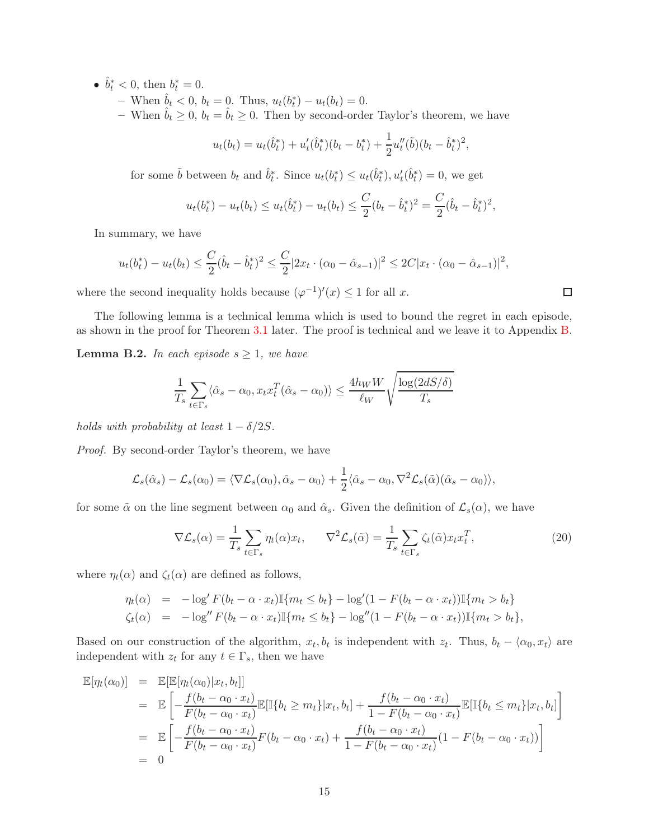- $\hat{b}_t^* < 0$ , then  $b_t^* = 0$ .
	- $-$  When  $\hat{b}_t < 0$ ,  $b_t = 0$ . Thus,  $u_t(b_t^*) u_t(b_t) = 0$ .
	- When  $\hat{b}_t \geq 0$ ,  $b_t = \hat{b}_t \geq 0$ . Then by second-order Taylor's theorem, we have

$$
u_t(b_t) = u_t(\hat{b}_t^*) + u'_t(\hat{b}_t^*)(b_t - b_t^*) + \frac{1}{2}u''_t(\tilde{b})(b_t - \hat{b}_t^*)^2,
$$

for some  $\tilde{b}$  between  $b_t$  and  $\hat{b}_t^*$ . Since  $u_t(b_t^*) \leq u_t(\hat{b}_t^*)$ ,  $u'_t(\hat{b}_t^*) = 0$ , we get

$$
u_t(b_t^*) - u_t(b_t) \le u_t(\hat{b}_t^*) - u_t(b_t) \le \frac{C}{2}(b_t - \hat{b}_t^*)^2 = \frac{C}{2}(\hat{b}_t - \hat{b}_t^*)^2,
$$

In summary, we have

$$
u_t(b_t^*) - u_t(b_t) \le \frac{C}{2}(\hat{b}_t - \hat{b}_t^*)^2 \le \frac{C}{2}|2x_t \cdot (\alpha_0 - \hat{\alpha}_{s-1})|^2 \le 2C|x_t \cdot (\alpha_0 - \hat{\alpha}_{s-1})|^2,
$$

where the second inequality holds because  $(\varphi^{-1})'(x) \leq 1$  for all x.

The following lemma is a technical lemma which is used to bound the regret in each episode, as shown in the proof for Theorem [3.1](#page-6-1) later. The proof is technical and we leave it to Appendix [B.](#page-13-1)

<span id="page-14-0"></span>**Lemma B.2.** In each episode  $s \geq 1$ , we have

$$
\frac{1}{T_s} \sum_{t \in \Gamma_s} \langle \hat{\alpha}_s - \alpha_0, x_t x_t^T (\hat{\alpha}_s - \alpha_0) \rangle \le \frac{4h_W W}{\ell_W} \sqrt{\frac{\log(2dS/\delta)}{T_s}}
$$

holds with probability at least  $1 - \delta/2S$ .

Proof. By second-order Taylor's theorem, we have

$$
\mathcal{L}_s(\hat{\alpha}_s) - \mathcal{L}_s(\alpha_0) = \langle \nabla \mathcal{L}_s(\alpha_0), \hat{\alpha}_s - \alpha_0 \rangle + \frac{1}{2} \langle \hat{\alpha}_s - \alpha_0, \nabla^2 \mathcal{L}_s(\tilde{\alpha}) (\hat{\alpha}_s - \alpha_0) \rangle,
$$

for some  $\tilde{\alpha}$  on the line segment between  $\alpha_0$  and  $\hat{\alpha}_s$ . Given the definition of  $\mathcal{L}_s(\alpha)$ , we have

<span id="page-14-1"></span>
$$
\nabla \mathcal{L}_s(\alpha) = \frac{1}{T_s} \sum_{t \in \Gamma_s} \eta_t(\alpha) x_t, \qquad \nabla^2 \mathcal{L}_s(\tilde{\alpha}) = \frac{1}{T_s} \sum_{t \in \Gamma_s} \zeta_t(\tilde{\alpha}) x_t x_t^T,
$$
\n(20)

where  $\eta_t(\alpha)$  and  $\zeta_t(\alpha)$  are defined as follows,

$$
\eta_t(\alpha) = -\log^t F(b_t - \alpha \cdot x_t) \mathbb{I}\{m_t \le b_t\} - \log^t (1 - F(b_t - \alpha \cdot x_t)) \mathbb{I}\{m_t > b_t\} \n\zeta_t(\alpha) = -\log^t F(b_t - \alpha \cdot x_t) \mathbb{I}\{m_t \le b_t\} - \log^t (1 - F(b_t - \alpha \cdot x_t)) \mathbb{I}\{m_t > b_t\},
$$

Based on our construction of the algorithm,  $x_t, b_t$  is independent with  $z_t$ . Thus,  $b_t - \langle \alpha_0, x_t \rangle$  are independent with  $z_t$  for any  $t \in \Gamma_s$ , then we have

$$
\mathbb{E}[\eta_t(\alpha_0)] = \mathbb{E}[\mathbb{E}[\eta_t(\alpha_0)|x_t, b_t]]
$$
\n
$$
= \mathbb{E}\left[-\frac{f(b_t - \alpha_0 \cdot x_t)}{F(b_t - \alpha_0 \cdot x_t)}\mathbb{E}[\mathbb{I}\{b_t \ge m_t\}|x_t, b_t] + \frac{f(b_t - \alpha_0 \cdot x_t)}{1 - F(b_t - \alpha_0 \cdot x_t)}\mathbb{E}[\mathbb{I}\{b_t \le m_t\}|x_t, b_t]\right]
$$
\n
$$
= \mathbb{E}\left[-\frac{f(b_t - \alpha_0 \cdot x_t)}{F(b_t - \alpha_0 \cdot x_t)}F(b_t - \alpha_0 \cdot x_t) + \frac{f(b_t - \alpha_0 \cdot x_t)}{1 - F(b_t - \alpha_0 \cdot x_t)}(1 - F(b_t - \alpha_0 \cdot x_t))\right]
$$
\n
$$
= 0
$$

 $\Box$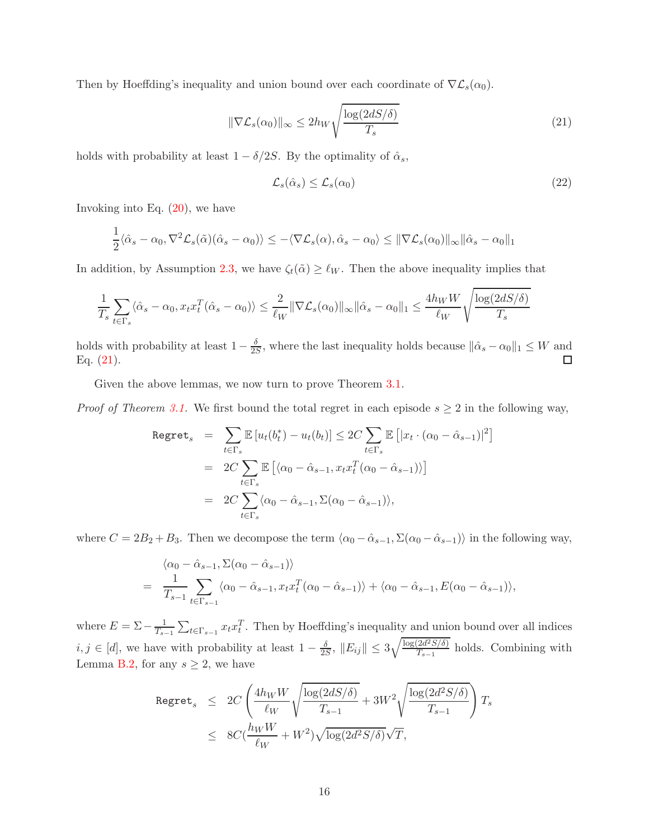Then by Hoeffding's inequality and union bound over each coordinate of  $\nabla \mathcal{L}_s(\alpha_0)$ .

<span id="page-15-0"></span>
$$
\|\nabla \mathcal{L}_s(\alpha_0)\|_{\infty} \le 2h_W \sqrt{\frac{\log(2dS/\delta)}{T_s}}
$$
\n(21)

holds with probability at least  $1 - \delta/2S$ . By the optimality of  $\hat{\alpha}_s$ ,

$$
\mathcal{L}_s(\hat{\alpha}_s) \le \mathcal{L}_s(\alpha_0) \tag{22}
$$

Invoking into Eq.  $(20)$ , we have

$$
\frac{1}{2}\langle \hat{\alpha}_s - \alpha_0, \nabla^2 \mathcal{L}_s(\tilde{\alpha})(\hat{\alpha}_s - \alpha_0) \rangle \le -\langle \nabla \mathcal{L}_s(\alpha), \hat{\alpha}_s - \alpha_0 \rangle \le ||\nabla \mathcal{L}_s(\alpha_0)||_{\infty} ||\hat{\alpha}_s - \alpha_0||_1
$$

In addition, by Assumption [2.3,](#page-4-4) we have  $\zeta_t(\tilde{\alpha}) \geq \ell_W$ . Then the above inequality implies that

$$
\frac{1}{T_s} \sum_{t \in \Gamma_s} \langle \hat{\alpha}_s - \alpha_0, x_t x_t^T (\hat{\alpha}_s - \alpha_0) \rangle \le \frac{2}{\ell_W} \|\nabla \mathcal{L}_s(\alpha_0)\|_{\infty} \|\hat{\alpha}_s - \alpha_0\|_1 \le \frac{4h_W W}{\ell_W} \sqrt{\frac{\log(2dS/\delta)}{T_s}}
$$

holds with probability at least  $1-\frac{\delta}{2k}$  $\frac{\partial}{\partial S}$ , where the last inequality holds because  $\|\hat{\alpha}_s - \alpha_0\|_1 \leq W$  and Eq. [\(21\)](#page-15-0).

Given the above lemmas, we now turn to prove Theorem  $3.1$ .

*Proof of Theorem [3.1.](#page-6-1)* We first bound the total regret in each episode  $s \geq 2$  in the following way,

$$
\begin{aligned}\n\text{Regret}_{s} &= \sum_{t \in \Gamma_{s}} \mathbb{E} \left[ u_{t}(b_{t}^{*}) - u_{t}(b_{t}) \right] \leq 2C \sum_{t \in \Gamma_{s}} \mathbb{E} \left[ |x_{t} \cdot (\alpha_{0} - \hat{\alpha}_{s-1})|^{2} \right] \\
&= 2C \sum_{t \in \Gamma_{s}} \mathbb{E} \left[ \langle \alpha_{0} - \hat{\alpha}_{s-1}, x_{t} x_{t}^{T} (\alpha_{0} - \hat{\alpha}_{s-1}) \rangle \right] \\
&= 2C \sum_{t \in \Gamma_{s}} \langle \alpha_{0} - \hat{\alpha}_{s-1}, \Sigma(\alpha_{0} - \hat{\alpha}_{s-1}) \rangle,\n\end{aligned}
$$

where  $C = 2B_2 + B_3$ . Then we decompose the term  $\langle \alpha_0 - \hat{\alpha}_{s-1}, \Sigma(\alpha_0 - \hat{\alpha}_{s-1}) \rangle$  in the following way,

$$
\langle \alpha_0 - \hat{\alpha}_{s-1}, \Sigma(\alpha_0 - \hat{\alpha}_{s-1}) \rangle
$$
  
= 
$$
\frac{1}{T_{s-1}} \sum_{t \in \Gamma_{s-1}} \langle \alpha_0 - \hat{\alpha}_{s-1}, x_t x_t^T (\alpha_0 - \hat{\alpha}_{s-1}) \rangle + \langle \alpha_0 - \hat{\alpha}_{s-1}, E(\alpha_0 - \hat{\alpha}_{s-1}) \rangle,
$$

where  $E = \sum -\frac{1}{T_s}$  $\frac{1}{T_{s-1}}\sum_{t\in\Gamma_{s-1}} x_t x_t^T$ . Then by Hoeffding's inequality and union bound over all indices  $i, j \in [d]$ , we have with probability at least  $1 - \frac{\delta}{2s}$  $\frac{\delta}{2S}, \|E_{ij}\| \le 3\sqrt{\frac{\log(2d^2S/\delta)}{T_{s-1}}}$  $\frac{Za-3/6j}{T_{s-1}}$  holds. Combining with Lemma [B.2,](#page-14-0) for any  $s \geq 2$ , we have

$$
\begin{array}{lcl} \texttt{Regret}_{s} & \leq & 2C \left( \dfrac{4h_{W}W}{\ell_{W}} \sqrt{\dfrac{\log(2dS/\delta)}{T_{s-1}}} + 3W^{2} \sqrt{\dfrac{\log(2d^{2}S/\delta)}{T_{s-1}}} \right) T_{s} \\ \\ & \leq & 8C (\dfrac{h_{W}W}{\ell_{W}} + W^{2}) \sqrt{\log(2d^{2}S/\delta)} \sqrt{T}, \end{array}
$$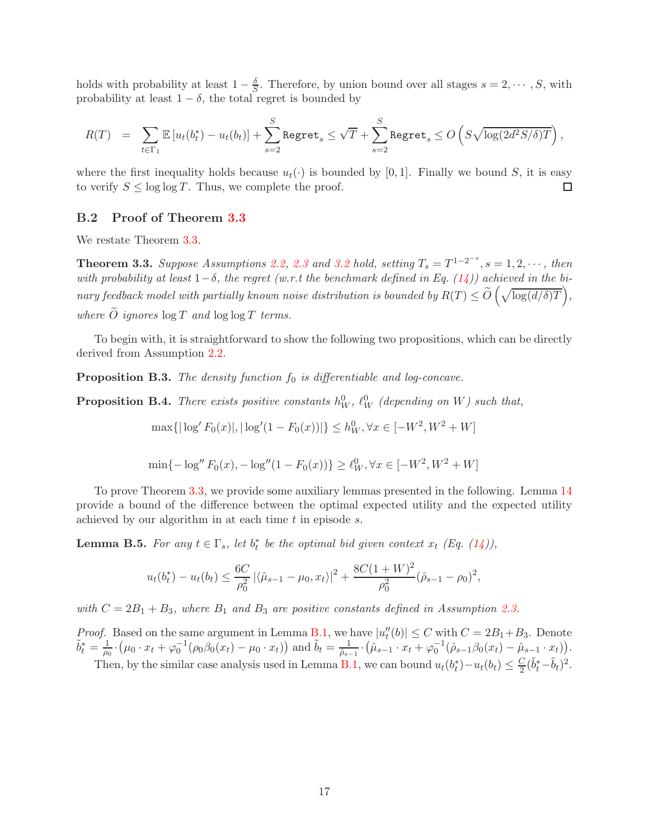holds with probability at least  $1 - \frac{\delta}{S}$ . Therefore, by union bound over all stages  $s = 2, \dots, S$ , with probability at least  $1 - \delta$ , the total regret is bounded by

$$
R(T) = \sum_{t \in \Gamma_1} \mathbb{E}\left[u_t(b_t^*) - u_t(b_t)\right] + \sum_{s=2}^S \text{Regret}_s \leq \sqrt{T} + \sum_{s=2}^S \text{Regret}_s \leq O\left(S\sqrt{\log(2d^2S/\delta)T}\right),
$$

where the first inequality holds because  $u_t(\cdot)$  is bounded by [0,1]. Finally we bound S, it is easy to verify  $S \leq \log \log T$ . Thus, we complete the proof. to verify  $S \leq \log \log T$ . Thus, we complete the proof.

### <span id="page-16-0"></span>B.2 Proof of Theorem [3.3](#page-7-4)

We restate Theorem [3.3.](#page-7-4)

**Theorem 3.3.** Suppose Assumptions [2.2,](#page-4-3) [2.3](#page-4-4) and [3.2](#page-7-0) hold, setting  $T_s = T^{1-2^{-s}}$ ,  $s = 1, 2, \cdots$ , then with probability at least  $1-\delta$ , the regret (w.r.t the benchmark defined in Eq. [\(14\)](#page-7-3)) achieved in the binary feedback model with partially known noise distribution is bounded by  $R(T) \le \widetilde{O}\left(\sqrt{\log(d/\delta)T}\right)$ , where  $\widetilde{O}$  ignores  $\log T$  and  $\log \log T$  terms.

To begin with, it is straightforward to show the following two propositions, which can be directly derived from Assumption [2.2.](#page-4-3)

**Proposition B.3.** The density function  $f_0$  is differentiable and log-concave.

**Proposition B.4.** There exists positive constants  $h_W^0$ ,  $\ell_W^0$  (depending on W) such that,

$$
\max\{|\log' F_0(x)|, |\log'(1 - F_0(x))|\} \le h_W^0, \forall x \in [-W^2, W^2 + W]
$$

$$
\min\{-\log'' F_0(x), -\log''(1 - F_0(x))\} \ge \ell_W^0, \forall x \in [-W^2, W^2 + W]
$$

To prove Theorem [3.3,](#page-7-4) we provide some auxiliary lemmas presented in the following. Lemma [14](#page-7-3) provide a bound of the difference between the optimal expected utility and the expected utility achieved by our algorithm in at each time  $t$  in episode  $s$ .

<span id="page-16-1"></span>**Lemma B.5.** For any  $t \in \Gamma_s$ , let  $b_t^*$  be the optimal bid given context  $x_t$  (Eq. [\(14\)](#page-7-3)),

$$
u_t(b_t^*) - u_t(b_t) \le \frac{6C}{\rho_0^2} |\langle \hat{\mu}_{s-1} - \mu_0, x_t \rangle|^2 + \frac{8C(1+W)^2}{\rho_0^2} (\hat{\rho}_{s-1} - \rho_0)^2,
$$

with  $C = 2B_1 + B_3$ , where  $B_1$  and  $B_3$  are positive constants defined in Assumption [2.3.](#page-4-4)

*Proof.* Based on the same argument in Lemma [B.1,](#page-13-0) we have  $|u''_t(b)| \leq C$  with  $C = 2B_1 + B_3$ . Denote  $\tilde{b}_t^* = \frac{1}{\rho_0}$  $\frac{1}{\rho_0} \cdot (\mu_0 \cdot x_t + \varphi_0^{-1} (\rho_0 \beta_0(x_t) - \mu_0 \cdot x_t))$  and  $\tilde{b}_t = \frac{1}{\hat{\rho}_{s-t}}$  $\frac{1}{\hat{\rho}_{s-1}} \cdot (\hat{\mu}_{s-1} \cdot x_t + \varphi_0^{-1} (\hat{\rho}_{s-1} \beta_0(x_t) - \hat{\mu}_{s-1} \cdot x_t)).$ Then, by the similar case analysis used in Lemma [B.1,](#page-13-0) we can bound  $u_t(b_t^*) - u_t(b_t) \leq \frac{C}{2}(\tilde{b}_t^* - \tilde{b}_t)^2$ .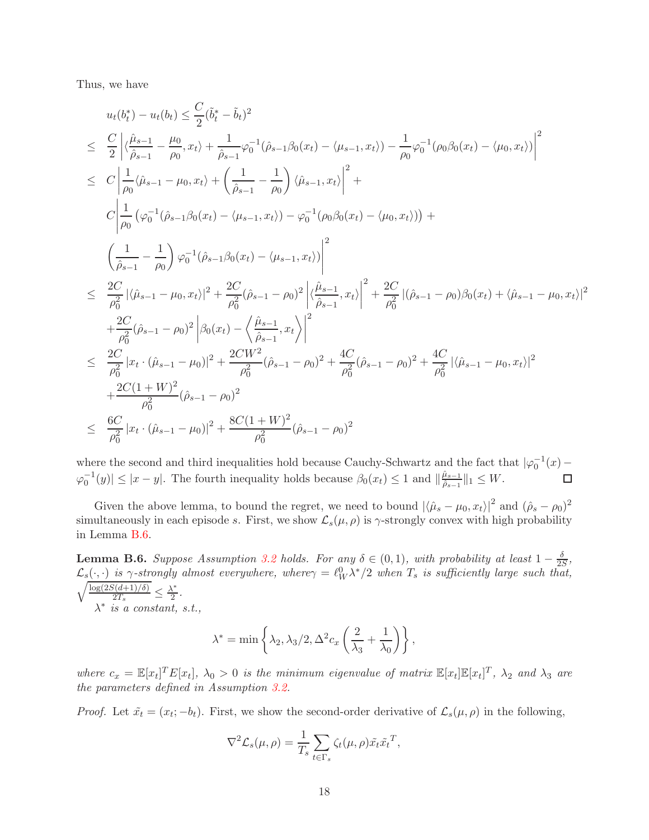Thus, we have

$$
u_{t}(b_{t}^{*}) - u_{t}(b_{t}) \leq \frac{C}{2}(\tilde{b}_{t}^{*} - \tilde{b}_{t})^{2}
$$
\n
$$
\leq \frac{C}{2} \Big| \langle \frac{\hat{\mu}_{s-1}}{\hat{\rho}_{s-1}} - \frac{\mu_{0}}{\rho_{0}}, x_{t} \rangle + \frac{1}{\hat{\rho}_{s-1}} \varphi_{0}^{-1}(\hat{\rho}_{s-1}\beta_{0}(x_{t}) - \langle \mu_{s-1}, x_{t} \rangle) - \frac{1}{\rho_{0}} \varphi_{0}^{-1}(\rho_{0}\beta_{0}(x_{t}) - \langle \mu_{0}, x_{t} \rangle) \Big|^{2}
$$
\n
$$
\leq C \Big| \frac{1}{\rho_{0}} \langle \hat{\mu}_{s-1} - \mu_{0}, x_{t} \rangle + \Big( \frac{1}{\hat{\rho}_{s-1}} - \frac{1}{\rho_{0}} \Big) \langle \hat{\mu}_{s-1}, x_{t} \rangle \Big|^{2} + C \Big| \frac{1}{\rho_{0}} \left( \varphi_{0}^{-1}(\hat{\rho}_{s-1}\beta_{0}(x_{t}) - \langle \mu_{s-1}, x_{t} \rangle) - \varphi_{0}^{-1}(\rho_{0}\beta_{0}(x_{t}) - \langle \mu_{0}, x_{t} \rangle) \right) + C \Big( \frac{1}{\hat{\rho}_{s-1}} - \frac{1}{\rho_{0}} \Big) \varphi_{0}^{-1}(\hat{\rho}_{s-1}\beta_{0}(x_{t}) - \langle \mu_{s-1}, x_{t} \rangle) \Big|^{2}
$$
\n
$$
\leq \frac{2C}{\rho_{0}^{2}} |\langle \hat{\mu}_{s-1} - \mu_{0}, x_{t} \rangle|^{2} + \frac{2C}{\rho_{0}^{2}} (\hat{\rho}_{s-1} - \rho_{0})^{2} \Big| \langle \frac{\hat{\mu}_{s-1}}{\hat{\rho}_{s-1}}, x_{t} \rangle \Big|^{2} + \frac{2C}{\rho_{0}^{2}} \left( \hat{\rho}_{s-1} - \rho_{0} \right) \beta_{0}(x_{t}) + \langle \hat{\mu}_{s-1} - \mu_{0}, x_{t} \rangle \Big|^{2}
$$
\n
$$
+ \frac{2C}{\rho_{0}^{2}} (\hat{\rho}_{s-1} - \rho_{0})^{2} \Big| \beta_{
$$

where the second and third inequalities hold because Cauchy-Schwartz and the fact that  $|\varphi_0^{-1}(x) - \varphi_0^{-1}(x)|$  $\varphi_0^{-1}(y) \le |x - y|$ . The fourth inequality holds because  $\beta_0(x_t) \le 1$  and  $\|\frac{\hat{\mu}_{s-1}}{\hat{\rho}_{s-1}}\|$  $\frac{\mu_{s-1}}{\hat{\rho}_{s-1}}\|_1 \leq W.$ 

Given the above lemma, to bound the regret, we need to bound  $|\langle \hat{\mu}_s - \mu_0, x_t \rangle|^2$  and  $(\hat{\rho}_s - \rho_0)^2$ simultaneously in each episode s. First, we show  $\mathcal{L}_s(\mu, \rho)$  is  $\gamma$ -strongly convex with high probability in Lemma [B.6.](#page-17-0)

<span id="page-17-0"></span>**Lemma B.6.** Suppose Assumption [3.2](#page-7-0) holds. For any  $\delta \in (0,1)$ , with probability at least  $1 - \frac{\delta}{2S}$  $\frac{\delta}{2S}$  $\mathcal{L}_s(\cdot, \cdot)$  is  $\gamma$ -strongly almost everywhere, where $\gamma = \ell_W^0 \lambda^*$  $\sqrt{ }$  $/2$  when  $T_s$  is sufficiently large such that,  $log(2S(d+1)/\delta)$  $\frac{\delta(d+1)/\delta)}{2T_s} \leq \frac{\lambda^*}{2}$  $\frac{\sqrt{x}}{2}$ .  $\lambda^*$  is a constant, s.t.,

$$
\lambda^* = \min \left\{ \lambda_2, \lambda_3/2, \Delta^2 c_x \left( \frac{2}{\lambda_3} + \frac{1}{\lambda_0} \right) \right\},\,
$$

where  $c_x = \mathbb{E}[x_t]^T E[x_t]$ ,  $\lambda_0 > 0$  is the minimum eigenvalue of matrix  $\mathbb{E}[x_t] \mathbb{E}[x_t]^T$ ,  $\lambda_2$  and  $\lambda_3$  are the parameters defined in Assumption [3.2.](#page-7-0)

*Proof.* Let  $\tilde{x}_t = (x_t; -b_t)$ . First, we show the second-order derivative of  $\mathcal{L}_s(\mu, \rho)$  in the following,

$$
\nabla^2 \mathcal{L}_s(\mu, \rho) = \frac{1}{T_s} \sum_{t \in \Gamma_s} \zeta_t(\mu, \rho) \tilde{x_t} \tilde{x_t}^T,
$$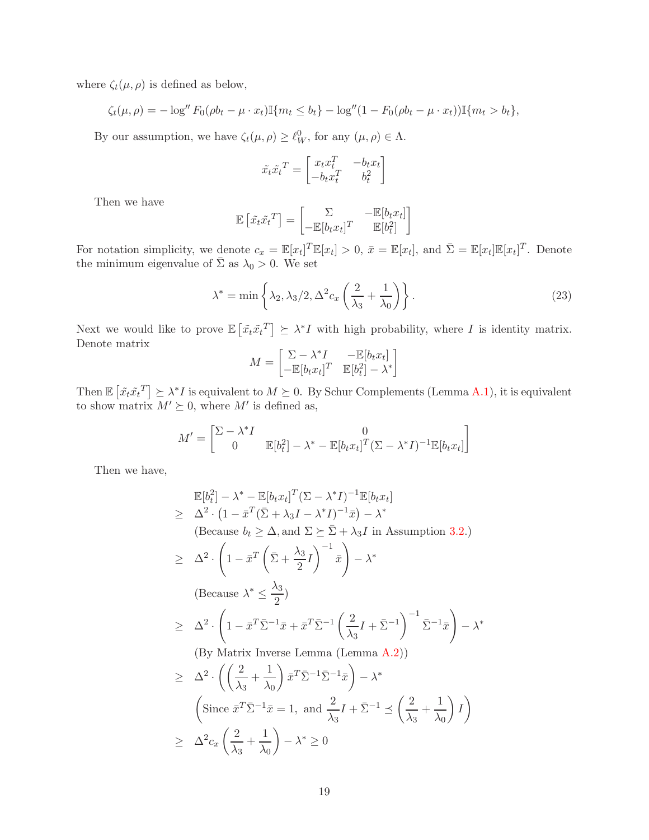where  $\zeta_t(\mu,\rho)$  is defined as below,

$$
\zeta_t(\mu,\rho) = -\log'' F_0(\rho b_t - \mu \cdot x_t) \mathbb{I}\{m_t \leq b_t\} - \log''(1 - F_0(\rho b_t - \mu \cdot x_t)) \mathbb{I}\{m_t > b_t\},\
$$

By our assumption, we have  $\zeta_t(\mu, \rho) \geq \ell_W^0$ , for any  $(\mu, \rho) \in \Lambda$ .

$$
\tilde{x_t}\tilde{x_t}^T = \begin{bmatrix} x_t x_t^T & -b_t x_t \\ -b_t x_t^T & b_t^2 \end{bmatrix}
$$

Then we have

$$
\mathbb{E}\left[\tilde{x_t}\tilde{x_t}^T\right] = \begin{bmatrix} \sum & -\mathbb{E}[b_tx_t] \\ -\mathbb{E}[b_tx_t]^T & \mathbb{E}[b_t^2] \end{bmatrix}
$$

For notation simplicity, we denote  $c_x = \mathbb{E}[x_t]^T \mathbb{E}[x_t] > 0$ ,  $\bar{x} = \mathbb{E}[x_t]$ , and  $\bar{\Sigma} = \mathbb{E}[x_t] \mathbb{E}[x_t]^T$ . Denote the minimum eigenvalue of  $\bar{\Sigma}$  as  $\lambda_0 > 0$ . We set

$$
\lambda^* = \min\left\{\lambda_2, \lambda_3/2, \Delta^2 c_x \left(\frac{2}{\lambda_3} + \frac{1}{\lambda_0}\right)\right\}.
$$
\n(23)

Next we would like to prove  $\mathbb{E}\left[\tilde{x}_t \tilde{x}_t^T\right] \succeq \lambda^* I$  with high probability, where I is identity matrix. Denote matrix

$$
M = \begin{bmatrix} \Sigma - \lambda^* I & -\mathbb{E}[b_t x_t] \\ -\mathbb{E}[b_t x_t]^T & \mathbb{E}[b_t^2] - \lambda^* \end{bmatrix}
$$

Then  $\mathbb{E}\left[\tilde{x}_t \tilde{x}_t^T\right] \succeq \lambda^* I$  is equivalent to  $M \succeq 0$ . By Schur Complements (Lemma [A.1\)](#page-13-2), it is equivalent to show matrix  $M' \succeq 0$ , where  $M'$  is defined as,

$$
M' = \begin{bmatrix} \Sigma - \lambda^* I & 0 \\ 0 & \mathbb{E}[b_t^2] - \lambda^* - \mathbb{E}[b_t x_t]^T (\Sigma - \lambda^* I)^{-1} \mathbb{E}[b_t x_t] \end{bmatrix}
$$

Then we have,

$$
\mathbb{E}[b_t^2] - \lambda^* - \mathbb{E}[b_t x_t]^T (\Sigma - \lambda^* I)^{-1} \mathbb{E}[b_t x_t]
$$
\n
$$
\geq \Delta^2 \cdot \left(1 - \bar{x}^T (\bar{\Sigma} + \lambda_3 I - \lambda^* I)^{-1} \bar{x}\right) - \lambda^*
$$
\n(Because  $b_t \geq \Delta$ , and  $\Sigma \geq \bar{\Sigma} + \lambda_3 I$  in Assumption 3.2.)\n
$$
\geq \Delta^2 \cdot \left(1 - \bar{x}^T \left(\bar{\Sigma} + \frac{\lambda_3}{2} I\right)^{-1} \bar{x}\right) - \lambda^*
$$
\n(Because  $\lambda^* \leq \frac{\lambda_3}{2}$ )\n
$$
\geq \Delta^2 \cdot \left(1 - \bar{x}^T \bar{\Sigma}^{-1} \bar{x} + \bar{x}^T \bar{\Sigma}^{-1} \left(\frac{2}{\lambda_3} I + \bar{\Sigma}^{-1}\right)^{-1} \bar{\Sigma}^{-1} \bar{x}\right) - \lambda^*
$$
\n(By Matrix Inverse Lemma (Lemma A.2))\n
$$
\geq \Delta^2 \cdot \left(\left(\frac{2}{\lambda_3} + \frac{1}{\lambda_0}\right) \bar{x}^T \bar{\Sigma}^{-1} \bar{\Sigma}^{-1} \bar{x}\right) - \lambda^*
$$
\n(Since  $\bar{x}^T \bar{\Sigma}^{-1} \bar{x} = 1$ , and  $\frac{2}{\lambda_3} I + \bar{\Sigma}^{-1} \leq \left(\frac{2}{\lambda_3} + \frac{1}{\lambda_0}\right) I$ )\n
$$
\geq \Delta^2 c_x \left(\frac{2}{\lambda_3} + \frac{1}{\lambda_0}\right) - \lambda^* \geq 0
$$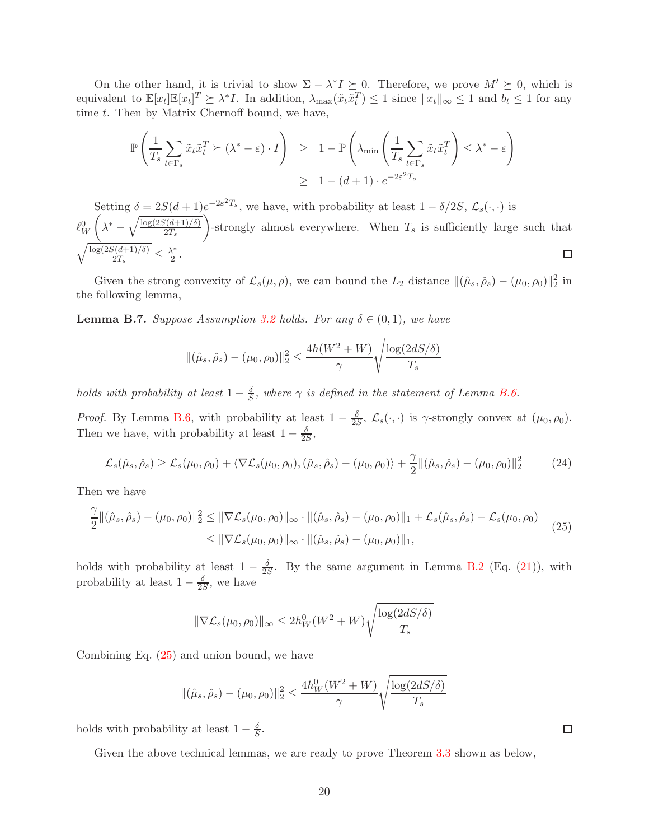On the other hand, it is trivial to show  $\Sigma - \lambda^* I \succeq 0$ . Therefore, we prove  $M' \succeq 0$ , which is equivalent to  $\mathbb{E}[x_t]\mathbb{E}[x_t]^T \succeq \lambda^*I$ . In addition,  $\lambda_{\max}(\tilde{x}_t \tilde{x}_t^T) \leq 1$  since  $||x_t||_{\infty} \leq 1$  and  $b_t \leq 1$  for any time t. Then by Matrix Chernoff bound, we have,

$$
\mathbb{P}\left(\frac{1}{T_s} \sum_{t \in \Gamma_s} \tilde{x}_t \tilde{x}_t^T \succeq (\lambda^* - \varepsilon) \cdot I\right) \ge 1 - \mathbb{P}\left(\lambda_{\min}\left(\frac{1}{T_s} \sum_{t \in \Gamma_s} \tilde{x}_t \tilde{x}_t^T\right) \le \lambda^* - \varepsilon\right)
$$
  
 
$$
\ge 1 - (d+1) \cdot e^{-2\varepsilon^2 T_s}
$$

Setting  $\delta = 2S(d+1)e^{-2\varepsilon^2 T_s}$ , we have, with probability at least  $1 - \delta/2S$ ,  $\mathcal{L}_s(\cdot, \cdot)$  is  $\sqrt{ }$  $\setminus$  $\lambda^* - \sqrt{\frac{\log(2S(d+1)/\delta)}{2T_s}}$  $\ell_W^0$ -strongly almost everywhere. When  $T_s$  is sufficiently large such that  $2T_s$  $\sqrt{\log(2S(d+1)/\delta)}$  $\frac{\delta(d+1)/\delta)}{2T_s} \leq \frac{\lambda^*}{2}$  $\frac{\sqrt{2}}{2}$ .  $\Box$ 

Given the strong convexity of  $\mathcal{L}_s(\mu, \rho)$ , we can bound the  $L_2$  distance  $\|(\hat{\mu}_s, \hat{\rho}_s) - (\mu_0, \rho_0)\|_2^2$  in the following lemma,

<span id="page-19-1"></span>**Lemma B.7.** Suppose Assumption [3.2](#page-7-0) holds. For any  $\delta \in (0,1)$ , we have

$$
\|(\hat{\mu}_s, \hat{\rho}_s) - (\mu_0, \rho_0)\|_2^2 \le \frac{4h(W^2 + W)}{\gamma} \sqrt{\frac{\log(2dS/\delta)}{T_s}}
$$

holds with probability at least  $1 - \frac{\delta}{S}$ , where  $\gamma$  is defined in the statement of Lemma [B.6.](#page-17-0)

*Proof.* By Lemma [B.6,](#page-17-0) with probability at least  $1 - \frac{\delta}{2S}$  $\frac{\partial}{\partial S}$ ,  $\mathcal{L}_s(\cdot, \cdot)$  is  $\gamma$ -strongly convex at  $(\mu_0, \rho_0)$ . Then we have, with probability at least  $1 - \frac{\delta}{2s}$  $\frac{\delta}{2S}$ 

<span id="page-19-0"></span>
$$
\mathcal{L}_s(\hat{\mu}_s, \hat{\rho}_s) \ge \mathcal{L}_s(\mu_0, \rho_0) + \langle \nabla \mathcal{L}_s(\mu_0, \rho_0), (\hat{\mu}_s, \hat{\rho}_s) - (\mu_0, \rho_0) \rangle + \frac{\gamma}{2} \| (\hat{\mu}_s, \hat{\rho}_s) - (\mu_0, \rho_0) \|_2^2 \tag{24}
$$

Then we have

$$
\frac{\gamma}{2} ||(\hat{\mu}_s, \hat{\rho}_s) - (\mu_0, \rho_0)||_2^2 \le ||\nabla \mathcal{L}_s(\mu_0, \rho_0)||_{\infty} \cdot ||(\hat{\mu}_s, \hat{\rho}_s) - (\mu_0, \rho_0)||_1 + \mathcal{L}_s(\hat{\mu}_s, \hat{\rho}_s) - \mathcal{L}_s(\mu_0, \rho_0) \le ||\nabla \mathcal{L}_s(\mu_0, \rho_0)||_{\infty} \cdot ||(\hat{\mu}_s, \hat{\rho}_s) - (\mu_0, \rho_0)||_1,
$$
\n(25)

holds with probability at least  $1 - \frac{\delta}{2s}$  $\frac{\sigma}{2S}$ . By the same argument in Lemma [B.2](#page-14-0) (Eq. [\(21\)](#page-15-0)), with probability at least  $1 - \frac{\delta}{2k}$  $\frac{\delta}{2S}$ , we have

$$
\|\nabla \mathcal{L}_s(\mu_0, \rho_0)\|_{\infty} \le 2h_W^0(W^2 + W)\sqrt{\frac{\log(2dS/\delta)}{T_s}}
$$

Combining Eq. [\(25\)](#page-19-0) and union bound, we have

$$
\|(\hat{\mu}_s, \hat{\rho}_s) - (\mu_0, \rho_0)\|_2^2 \le \frac{4h_W^0(W^2 + W)}{\gamma} \sqrt{\frac{\log(2dS/\delta)}{T_s}}
$$

holds with probability at least  $1 - \frac{\delta}{S}$  $\frac{\delta}{S}$ .

Given the above technical lemmas, we are ready to prove Theorem [3.3](#page-7-4) shown as below,

 $\Box$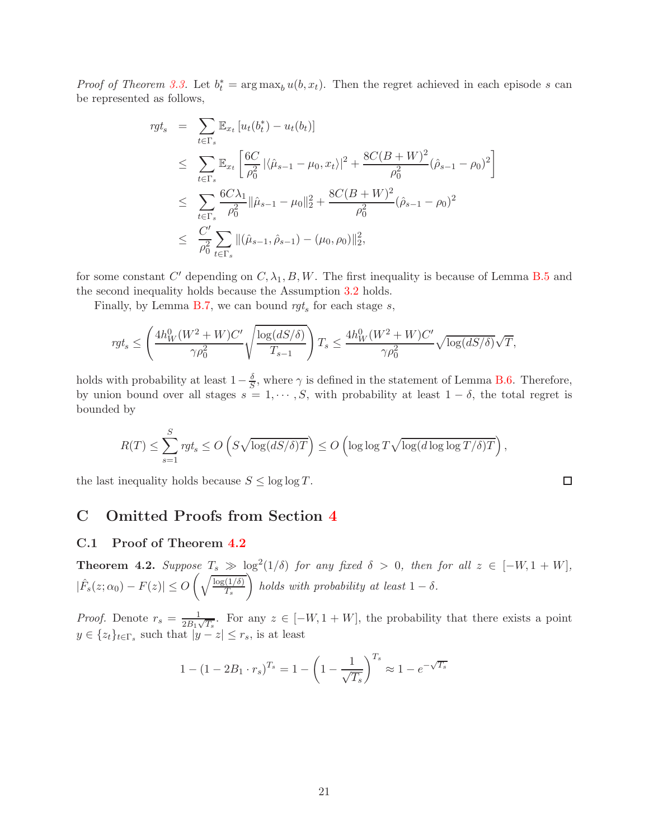*Proof of Theorem [3.3.](#page-7-4)* Let  $b_t^* = \arg \max_b u(b, x_t)$ . Then the regret achieved in each episode s can be represented as follows,

$$
rgt_s = \sum_{t \in \Gamma_s} \mathbb{E}_{x_t} [u_t(b_t^*) - u_t(b_t)]
$$
  
\n
$$
\leq \sum_{t \in \Gamma_s} \mathbb{E}_{x_t} \left[ \frac{6C}{\rho_0^2} |\langle \hat{\mu}_{s-1} - \mu_0, x_t \rangle|^2 + \frac{8C(B+W)^2}{\rho_0^2} (\hat{\rho}_{s-1} - \rho_0)^2 \right]
$$
  
\n
$$
\leq \sum_{t \in \Gamma_s} \frac{6C\lambda_1}{\rho_0^2} ||\hat{\mu}_{s-1} - \mu_0||_2^2 + \frac{8C(B+W)^2}{\rho_0^2} (\hat{\rho}_{s-1} - \rho_0)^2
$$
  
\n
$$
\leq \frac{C'}{\rho_0^2} \sum_{t \in \Gamma_s} ||(\hat{\mu}_{s-1}, \hat{\rho}_{s-1}) - (\mu_0, \rho_0)||_2^2,
$$

for some constant C' depending on  $C, \lambda_1, B, W$ . The first inequality is because of Lemma [B.5](#page-16-1) and the second inequality holds because the Assumption [3.2](#page-7-0) holds.

Finally, by Lemma [B.7,](#page-19-1) we can bound  $\eta t_s$  for each stage s,

$$
rgt_s \leq \left(\frac{4h_W^0(W^2+W)C'}{\gamma \rho_0^2}\sqrt{\frac{\log(dS/\delta)}{T_{s-1}}}\right)T_s \leq \frac{4h_W^0(W^2+W)C'}{\gamma \rho_0^2}\sqrt{\log(dS/\delta)}\sqrt{T},
$$

holds with probability at least  $1-\frac{\delta}{5}$  $\frac{\delta}{\delta}$ , where  $\gamma$  is defined in the statement of Lemma [B.6.](#page-17-0) Therefore, by union bound over all stages  $s = 1, \dots, S$ , with probability at least  $1 - \delta$ , the total regret is bounded by

$$
R(T) \le \sum_{s=1}^{S} rgt_s \le O\left(S\sqrt{\log(dS/\delta)T}\right) \le O\left(\log\log T\sqrt{\log(d\log\log T/\delta)T}\right),
$$

 $\Box$ 

the last inequality holds because  $S \leq \log \log T$ .

### <span id="page-20-0"></span>C Omitted Proofs from Section [4](#page-8-3)

#### C.1 Proof of Theorem [4.2](#page-9-0)

**Theorem 4.2.** Suppose  $T_s \gg \log^2(1/\delta)$  for any fixed  $\delta > 0$ , then for all  $z \in [-W, 1 + W]$ ,  $|\hat{F}_s(z;\alpha_0) - F(z)| \leq O$  $\int \frac{\log(1/\delta)}{\log(1/\delta)}$  $T_s$  $\setminus$ holds with probability at least  $1 - \delta$ .

*Proof.* Denote  $r_s = \frac{1}{2B_1\sqrt{T_s}}$ . For any  $z \in [-W, 1+W]$ , the probability that there exists a point  $y \in \{z_t\}_{t \in \Gamma_s}$  such that  $|y - z| \le r_s$ , is at least

$$
1 - (1 - 2B_1 \cdot r_s)^{T_s} = 1 - \left(1 - \frac{1}{\sqrt{T_s}}\right)^{T_s} \approx 1 - e^{-\sqrt{T_s}}
$$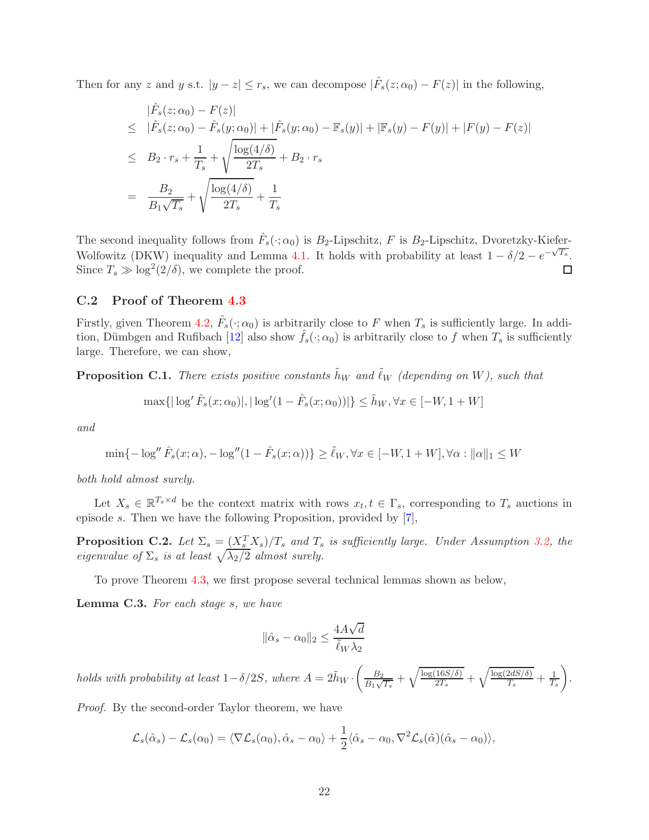Then for any z and y s.t.  $|y - z| \le r_s$ , we can decompose  $|\hat{F}_s(z; \alpha_0) - F(z)|$  in the following,

$$
|\hat{F}_s(z; \alpha_0) - F(z)|
$$
  
\n
$$
\leq |\hat{F}_s(z; \alpha_0) - \hat{F}_s(y; \alpha_0)| + |\hat{F}_s(y; \alpha_0) - \mathbb{F}_s(y)| + |\mathbb{F}_s(y) - F(y)| + |F(y) - F(z)|
$$
  
\n
$$
\leq B_2 \cdot r_s + \frac{1}{T_s} + \sqrt{\frac{\log(4/\delta)}{2T_s}} + B_2 \cdot r_s
$$
  
\n
$$
= \frac{B_2}{B_1 \sqrt{T_s}} + \sqrt{\frac{\log(4/\delta)}{2T_s}} + \frac{1}{T_s}
$$

The second inequality follows from  $\hat{F}_s(\cdot; \alpha_0)$  is  $B_2$ -Lipschitz, F is  $B_2$ -Lipschitz, Dvoretzky-Kiefer-Wolfowitz (DKW) inequality and Lemma [4.1.](#page-9-2) It holds with probability at least  $1 - \delta/2 - e^{-\sqrt{T_s}}$ . Since  $T_s \gg \log^2(2/\delta)$ , we complete the proof. □

### <span id="page-21-0"></span>C.2 Proof of Theorem [4.3](#page-9-3)

Firstly, given Theorem [4.2,](#page-9-0)  $\hat{F}_s(\cdot;\alpha_0)$  is arbitrarily close to F when  $T_s$  is sufficiently large. In addi-tion, Dümbgen and Rufibach [\[12](#page-11-5)] also show  $\hat{f}_s(\cdot; \alpha_0)$  is arbitrarily close to f when  $T_s$  is sufficiently large. Therefore, we can show,

<span id="page-21-2"></span>**Proposition C.1.** There exists positive constants  $\tilde{h}_W$  and  $\tilde{\ell}_W$  (depending on W), such that

$$
\max\{|\log'\hat{F}_s(x;\alpha_0)|, |\log'(1-\hat{F}_s(x;\alpha_0))|\} \le \tilde{h}_W, \forall x \in [-W, 1+W]
$$

and

$$
\min\{-\log''\hat{F}_s(x;\alpha), -\log''(1-\hat{F}_s(x;\alpha))\} \ge \tilde{\ell}_W, \forall x \in [-W, 1+W], \forall \alpha : ||\alpha||_1 \le W
$$

both hold almost surely.

Let  $X_s \in \mathbb{R}^{T_s \times d}$  be the context matrix with rows  $x_t, t \in \Gamma_s$ , corresponding to  $T_s$  auctions in episode s. Then we have the following Proposition, provided by [\[7](#page-11-13)],

<span id="page-21-3"></span>**Proposition C.2.** Let  $\Sigma_s = \frac{(X_s^T X_s)}{T_s}$  and  $T_s$  is sufficiently large. Under Assumption [3.2,](#page-7-0) the eigenvalue of  $\Sigma_s$  is at least  $\sqrt{\lambda_2/2}$  almost surely.

To prove Theorem [4.3,](#page-9-3) we first propose several technical lemmas shown as below,

<span id="page-21-1"></span>Lemma C.3. For each stage s, we have

$$
\|\hat{\alpha}_s-\alpha_0\|_2 \leq \frac{4A\sqrt{d}}{\tilde{\ell}_W\lambda_2}
$$

holds with probability at least  $1-\delta/2S$ , where  $A = 2\tilde{h}_W \cdot \left(\frac{B_2}{B_1\sqrt{S_1}}\right)$  $\frac{B_2}{B_1\sqrt{T_s}}+\sqrt{\frac{\log(16S/\delta)}{2T_s}}$  $\frac{\overline{16S/\delta)}}{2T_s} + \sqrt{\frac{\log(2dS/\delta)}{T_s}}$  $\frac{2dS/\delta)}{T_s}+\frac{1}{T_s}$  $T_{s}$  $\setminus$ .

Proof. By the second-order Taylor theorem, we have

$$
\mathcal{L}_s(\hat{\alpha}_s) - \mathcal{L}_s(\alpha_0) = \langle \nabla \mathcal{L}_s(\alpha_0), \hat{\alpha}_s - \alpha_0 \rangle + \frac{1}{2} \langle \hat{\alpha}_s - \alpha_0, \nabla^2 \mathcal{L}_s(\tilde{\alpha}) (\hat{\alpha}_s - \alpha_0) \rangle,
$$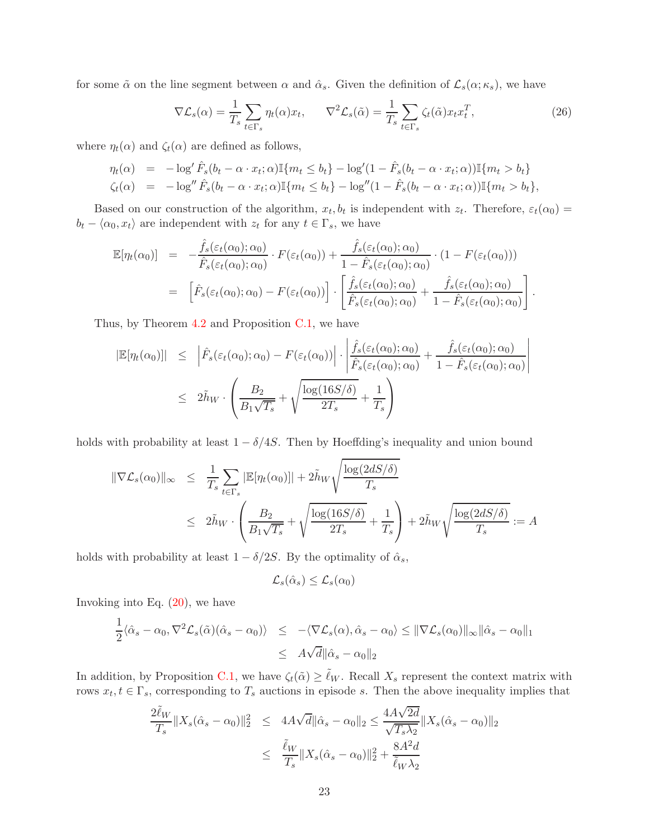for some  $\tilde{\alpha}$  on the line segment between  $\alpha$  and  $\hat{\alpha}_s$ . Given the definition of  $\mathcal{L}_s(\alpha; \kappa_s)$ , we have

$$
\nabla \mathcal{L}_s(\alpha) = \frac{1}{T_s} \sum_{t \in \Gamma_s} \eta_t(\alpha) x_t, \qquad \nabla^2 \mathcal{L}_s(\tilde{\alpha}) = \frac{1}{T_s} \sum_{t \in \Gamma_s} \zeta_t(\tilde{\alpha}) x_t x_t^T,
$$
\n(26)

where  $\eta_t(\alpha)$  and  $\zeta_t(\alpha)$  are defined as follows,

$$
\eta_t(\alpha) = -\log' \hat{F}_s(b_t - \alpha \cdot x_t; \alpha) \mathbb{I}\{m_t \le b_t\} - \log'(1 - \hat{F}_s(b_t - \alpha \cdot x_t; \alpha)) \mathbb{I}\{m_t > b_t\}
$$
  

$$
\zeta_t(\alpha) = -\log'' \hat{F}_s(b_t - \alpha \cdot x_t; \alpha) \mathbb{I}\{m_t \le b_t\} - \log''(1 - \hat{F}_s(b_t - \alpha \cdot x_t; \alpha)) \mathbb{I}\{m_t > b_t\},
$$

Based on our construction of the algorithm,  $x_t, b_t$  is independent with  $z_t$ . Therefore,  $\varepsilon_t(\alpha_0)$  =  $b_t - \langle \alpha_0, x_t \rangle$  are independent with  $z_t$  for any  $t \in \Gamma_s$ , we have

$$
\mathbb{E}[\eta_t(\alpha_0)] = -\frac{\hat{f}_s(\varepsilon_t(\alpha_0); \alpha_0)}{\hat{F}_s(\varepsilon_t(\alpha_0); \alpha_0)} \cdot F(\varepsilon_t(\alpha_0)) + \frac{\hat{f}_s(\varepsilon_t(\alpha_0); \alpha_0)}{1 - \hat{F}_s(\varepsilon_t(\alpha_0); \alpha_0)} \cdot (1 - F(\varepsilon_t(\alpha_0)))
$$
\n
$$
= \left[ \hat{F}_s(\varepsilon_t(\alpha_0); \alpha_0) - F(\varepsilon_t(\alpha_0)) \right] \cdot \left[ \frac{\hat{f}_s(\varepsilon_t(\alpha_0); \alpha_0)}{\hat{F}_s(\varepsilon_t(\alpha_0); \alpha_0)} + \frac{\hat{f}_s(\varepsilon_t(\alpha_0); \alpha_0)}{1 - \hat{F}_s(\varepsilon_t(\alpha_0); \alpha_0)} \right].
$$

Thus, by Theorem [4.2](#page-9-0) and Proposition [C.1,](#page-21-2) we have

$$
|\mathbb{E}[\eta_t(\alpha_0)]| \leq |\hat{F}_s(\varepsilon_t(\alpha_0); \alpha_0) - F(\varepsilon_t(\alpha_0))| \cdot \left| \frac{\hat{f}_s(\varepsilon_t(\alpha_0); \alpha_0)}{\hat{F}_s(\varepsilon_t(\alpha_0); \alpha_0)} + \frac{\hat{f}_s(\varepsilon_t(\alpha_0); \alpha_0)}{1 - \hat{F}_s(\varepsilon_t(\alpha_0); \alpha_0)} \right|
$$
  

$$
\leq 2\tilde{h}_W \cdot \left( \frac{B_2}{B_1\sqrt{T_s}} + \sqrt{\frac{\log(16S/\delta)}{2T_s}} + \frac{1}{T_s} \right)
$$

holds with probability at least  $1 - \delta/4S$ . Then by Hoeffding's inequality and union bound

$$
\begin{array}{rcl}\n\|\nabla \mathcal{L}_s(\alpha_0)\|_{\infty} & \leq & \displaystyle\frac{1}{T_s} \sum_{t \in \Gamma_s} |\mathbb{E}[\eta_t(\alpha_0)]| + 2\tilde{h}_W \sqrt{\frac{\log(2dS/\delta)}{T_s}} \\
& \leq & 2\tilde{h}_W \cdot \left( \frac{B_2}{B_1 \sqrt{T_s}} + \sqrt{\frac{\log(16S/\delta)}{2T_s}} + \frac{1}{T_s} \right) + 2\tilde{h}_W \sqrt{\frac{\log(2dS/\delta)}{T_s}} := A\n\end{array}
$$

holds with probability at least  $1 - \delta/2S$ . By the optimality of  $\hat{\alpha}_s$ ,

$$
\mathcal{L}_s(\hat{\alpha}_s) \le \mathcal{L}_s(\alpha_0)
$$

Invoking into Eq.  $(20)$ , we have

$$
\frac{1}{2}\langle \hat{\alpha}_s - \alpha_0, \nabla^2 \mathcal{L}_s(\tilde{\alpha})(\hat{\alpha}_s - \alpha_0) \rangle \le -\langle \nabla \mathcal{L}_s(\alpha), \hat{\alpha}_s - \alpha_0 \rangle \le ||\nabla \mathcal{L}_s(\alpha_0)||_{\infty} ||\hat{\alpha}_s - \alpha_0||_1
$$
  

$$
\le A\sqrt{d} ||\hat{\alpha}_s - \alpha_0||_2
$$

In addition, by Proposition [C.1,](#page-21-2) we have  $\zeta_t(\tilde{\alpha}) \geq \tilde{\ell}_W$ . Recall  $X_s$  represent the context matrix with rows  $x_t, t \in \Gamma_s$ , corresponding to  $T_s$  auctions in episode s. Then the above inequality implies that

$$
\frac{2\tilde{\ell}_W}{T_s} \|X_s(\hat{\alpha}_s - \alpha_0)\|_2^2 \le 4A\sqrt{d} \|\hat{\alpha}_s - \alpha_0\|_2 \le \frac{4A\sqrt{2d}}{\sqrt{T_s \lambda_2}} \|X_s(\hat{\alpha}_s - \alpha_0)\|_2
$$
  

$$
\le \frac{\tilde{\ell}_W}{T_s} \|X_s(\hat{\alpha}_s - \alpha_0)\|_2^2 + \frac{8A^2d}{\tilde{\ell}_W \lambda_2}
$$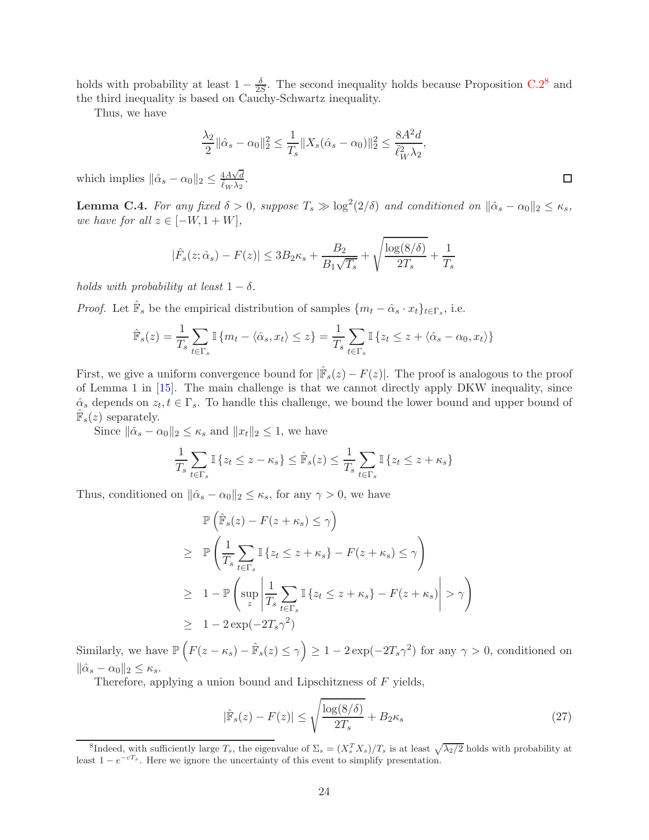holds with probability at least  $1 - \frac{\delta}{2S}$ . The second inequality holds because Proposition [C.2](#page-21-3)<sup>[8](#page-23-1)</sup> and the third inequality is based on Cauchy-Schwartz inequality.

Thus, we have

$$
\frac{\lambda_2}{2} \|\hat{\alpha}_s - \alpha_0\|_2^2 \le \frac{1}{T_s} \|X_s(\hat{\alpha}_s - \alpha_0)\|_2^2 \le \frac{8A^2d}{\tilde{\ell}_W^2 \lambda_2^2},
$$

which implies  $\|\hat{\alpha}_s - \alpha_0\|_2 \leq \frac{4A\sqrt{d}}{\tilde{\ell}_W \lambda_2}$ .

<span id="page-23-0"></span>**Lemma C.4.** For any fixed  $\delta > 0$ , suppose  $T_s \gg \log^2(2/\delta)$  and conditioned on  $\|\hat{\alpha}_s - \alpha_0\|_2 \le \kappa_s$ , we have for all  $z \in [-W, 1+W]$ ,

$$
|\hat{F}_s(z; \hat{\alpha}_s) - F(z)| \le 3B_2 \kappa_s + \frac{B_2}{B_1 \sqrt{T_s}} + \sqrt{\frac{\log(8/\delta)}{2T_s}} + \frac{1}{T_s}
$$

holds with probability at least  $1 - \delta$ .

*Proof.* Let  $\hat{\mathbb{F}}_s$  be the empirical distribution of samples  $\{m_t - \hat{\alpha}_s \cdot x_t\}_{t \in \Gamma_s}$ , i.e.

$$
\hat{\mathbb{F}}_s(z) = \frac{1}{T_s} \sum_{t \in \Gamma_s} \mathbb{I} \{ m_t - \langle \hat{\alpha}_s, x_t \rangle \le z \} = \frac{1}{T_s} \sum_{t \in \Gamma_s} \mathbb{I} \{ z_t \le z + \langle \hat{\alpha}_s - \alpha_0, x_t \rangle \}
$$

First, we give a uniform convergence bound for  $|\hat{\mathbb{F}}_s(z) - F(z)|$ . The proof is analogous to the proof of Lemma 1 in [\[15](#page-12-8)]. The main challenge is that we cannot directly apply DKW inequality, since  $\hat{\alpha}_s$  depends on  $z_t, t \in \Gamma_s$ . To handle this challenge, we bound the lower bound and upper bound of  $\hat{\mathbb{F}}_s(z)$  separately.

Since  $\|\hat{\alpha}_s - \alpha_0\|_2 \le \kappa_s$  and  $\|x_t\|_2 \le 1$ , we have

$$
\frac{1}{T_s} \sum_{t \in \Gamma_s} \mathbb{I} \{ z_t \le z - \kappa_s \} \le \hat{\mathbb{F}}_s(z) \le \frac{1}{T_s} \sum_{t \in \Gamma_s} \mathbb{I} \{ z_t \le z + \kappa_s \}
$$

Thus, conditioned on  $\|\hat{\alpha}_s - \alpha_0\|_2 \leq \kappa_s$ , for any  $\gamma > 0$ , we have

$$
\mathbb{P}\left(\hat{\mathbb{F}}_s(z) - F(z + \kappa_s) \le \gamma\right)
$$
\n
$$
\ge \mathbb{P}\left(\frac{1}{T_s} \sum_{t \in \Gamma_s} \mathbb{I}\left\{z_t \le z + \kappa_s\right\} - F(z + \kappa_s) \le \gamma\right)
$$
\n
$$
\ge 1 - \mathbb{P}\left(\sup_z \left|\frac{1}{T_s} \sum_{t \in \Gamma_s} \mathbb{I}\left\{z_t \le z + \kappa_s\right\} - F(z + \kappa_s)\right| > \gamma\right)
$$
\n
$$
\ge 1 - 2\exp(-2T_s\gamma^2)
$$

Similarly, we have  $\mathbb{P}\left(F(z-\kappa_s)-\hat{\mathbb{F}}_s(z)\leq \gamma\right)\geq 1-2\exp(-2T_s\gamma^2)$  for any  $\gamma>0$ , conditioned on  $\|\hat{\alpha}_s - \alpha_0\|_2 \leq \kappa_s.$ 

Therefore, applying a union bound and Lipschitzness of F yields,

<span id="page-23-2"></span>
$$
|\hat{\mathbb{F}}_s(z) - F(z)| \le \sqrt{\frac{\log(8/\delta)}{2T_s}} + B_{2\kappa_s} \tag{27}
$$

 $\Box$ 

<span id="page-23-1"></span><sup>&</sup>lt;sup>8</sup>Indeed, with sufficiently large  $T_s$ , the eigenvalue of  $\Sigma_s = (X_s^T X_s)/T_s$  is at least  $\sqrt{\lambda_2/2}$  holds with probability at least  $1 - e^{-cT_s}$ . Here we ignore the uncertainty of this event to simplify presentation.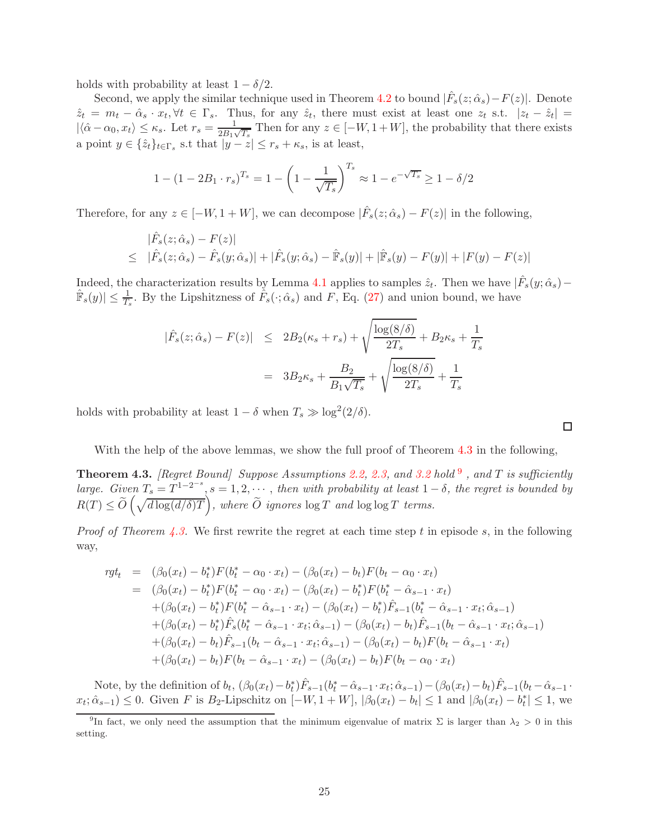holds with probability at least  $1 - \delta/2$ .

Second, we apply the similar technique used in Theorem [4.2](#page-9-0) to bound  $|\hat{F}_s(z; \hat{\alpha}_s) - F(z)|$ . Denote  $\hat{z}_t = m_t - \hat{\alpha}_s \cdot x_t, \forall t \in \Gamma_s$ . Thus, for any  $\hat{z}_t$ , there must exist at least one  $z_t$  s.t.  $|z_t - \hat{z}_t|$  $|\langle \hat{\alpha} - \alpha_0, x_t \rangle \leq \kappa_s$ . Let  $r_s = \frac{1}{2B_{11}}$  $\frac{1}{2B_1\sqrt{T_s}}$  Then for any  $z \in [-W, 1+W]$ , the probability that there exists a point  $y \in \{\hat{z}_t\}_{t \in \Gamma_s}$  s.t that  $|y - z| \leq r_s + \kappa_s$ , is at least,

$$
1 - (1 - 2B_1 \cdot r_s)^{T_s} = 1 - \left(1 - \frac{1}{\sqrt{T_s}}\right)^{T_s} \approx 1 - e^{-\sqrt{T_s}} \ge 1 - \delta/2
$$

Therefore, for any  $z \in [-W, 1+W]$ , we can decompose  $|\hat{F}_s(z; \hat{\alpha}_s) - F(z)|$  in the following,

$$
|\hat{F}_s(z; \hat{\alpha}_s) - F(z)|
$$
  
\n
$$
\leq |\hat{F}_s(z; \hat{\alpha}_s) - \hat{F}_s(y; \hat{\alpha}_s)| + |\hat{F}_s(y; \hat{\alpha}_s) - \hat{F}_s(y)| + |\hat{F}_s(y) - F(y)| + |F(y) - F(z)|
$$

Indeed, the characterization results by Lemma [4.1](#page-9-2) applies to samples  $\hat{z}_t$ . Then we have  $|\hat{F}_s(y; \hat{\alpha}_s) - \hat{\alpha}_s(z)|$  $\hat{\mathbb{F}}_s(y) \leq \frac{1}{T_s}$ . By the Lipshitzness of  $\hat{F}_s(\cdot; \hat{\alpha}_s)$  and  $F$ , Eq. [\(27\)](#page-23-2) and union bound, we have

$$
|\hat{F}_s(z; \hat{\alpha}_s) - F(z)| \leq 2B_2(\kappa_s + r_s) + \sqrt{\frac{\log(8/\delta)}{2T_s}} + B_2\kappa_s + \frac{1}{T_s}
$$

$$
= 3B_2\kappa_s + \frac{B_2}{B_1\sqrt{T_s}} + \sqrt{\frac{\log(8/\delta)}{2T_s}} + \frac{1}{T_s}
$$

holds with probability at least  $1 - \delta$  when  $T_s \gg \log^2(2/\delta)$ .

With the help of the above lemmas, we show the full proof of Theorem [4.3](#page-9-3) in the following,

**Theorem 4.3.** [Regret Bound] Suppose Assumptions [2.2,](#page-4-3) [2.3,](#page-4-4) and [3.2](#page-7-0) hold  $9$ , and T is sufficiently large. Given  $T_s = T^{1-2^{-s}}$ ,  $s = 1, 2, \dots$ , then with probability at least  $1-\delta$ , the regret is bounded by  $R(T) \le \widetilde{O}\left(\sqrt{d\log(d/\delta)T}\right)$ , where  $\widetilde{O}$  ignores  $\log T$  and  $\log \log T$  terms.

*Proof of Theorem [4.3.](#page-9-3)* We first rewrite the regret at each time step t in episode s, in the following way,

$$
rgt_t = (\beta_0(x_t) - b_t^*)F(b_t^* - \alpha_0 \cdot x_t) - (\beta_0(x_t) - b_t)F(b_t - \alpha_0 \cdot x_t)
$$
  
\n
$$
= (\beta_0(x_t) - b_t^*)F(b_t^* - \alpha_0 \cdot x_t) - (\beta_0(x_t) - b_t^*)F(b_t^* - \hat{\alpha}_{s-1} \cdot x_t)
$$
  
\n
$$
+ (\beta_0(x_t) - b_t^*)F(b_t^* - \hat{\alpha}_{s-1} \cdot x_t) - (\beta_0(x_t) - b_t^*)\hat{F}_{s-1}(b_t^* - \hat{\alpha}_{s-1} \cdot x_t; \hat{\alpha}_{s-1})
$$
  
\n
$$
+ (\beta_0(x_t) - b_t^*)\hat{F}_s(b_t^* - \hat{\alpha}_{s-1} \cdot x_t; \hat{\alpha}_{s-1}) - (\beta_0(x_t) - b_t)\hat{F}_{s-1}(b_t - \hat{\alpha}_{s-1} \cdot x_t; \hat{\alpha}_{s-1})
$$
  
\n
$$
+ (\beta_0(x_t) - b_t)\hat{F}_{s-1}(b_t - \hat{\alpha}_{s-1} \cdot x_t; \hat{\alpha}_{s-1}) - (\beta_0(x_t) - b_t)F(b_t - \hat{\alpha}_{s-1} \cdot x_t)
$$
  
\n
$$
+ (\beta_0(x_t) - b_t)F(b_t - \hat{\alpha}_{s-1} \cdot x_t) - (\beta_0(x_t) - b_t)F(b_t - \alpha_0 \cdot x_t)
$$

Note, by the definition of  $b_t$ ,  $(\beta_0(x_t) - b_t^*)\hat{F}_{s-1}(b_t^* - \hat{\alpha}_{s-1} \cdot x_t; \hat{\alpha}_{s-1}) - (\beta_0(x_t) - b_t)\hat{F}_{s-1}(b_t - \hat{\alpha}_{s-1} \cdot x_t; \hat{\alpha}_{s-1})$  $x_t; \hat{\alpha}_{s-1} \geq 0$ . Given F is B<sub>2</sub>-Lipschitz on  $[-W, 1+W]$ ,  $|\beta_0(x_t) - b_t| \leq 1$  and  $|\beta_0(x_t) - b_t| \leq 1$ , we

<span id="page-24-0"></span><sup>&</sup>lt;sup>9</sup>In fact, we only need the assumption that the minimum eigenvalue of matrix  $\Sigma$  is larger than  $\lambda_2 > 0$  in this setting.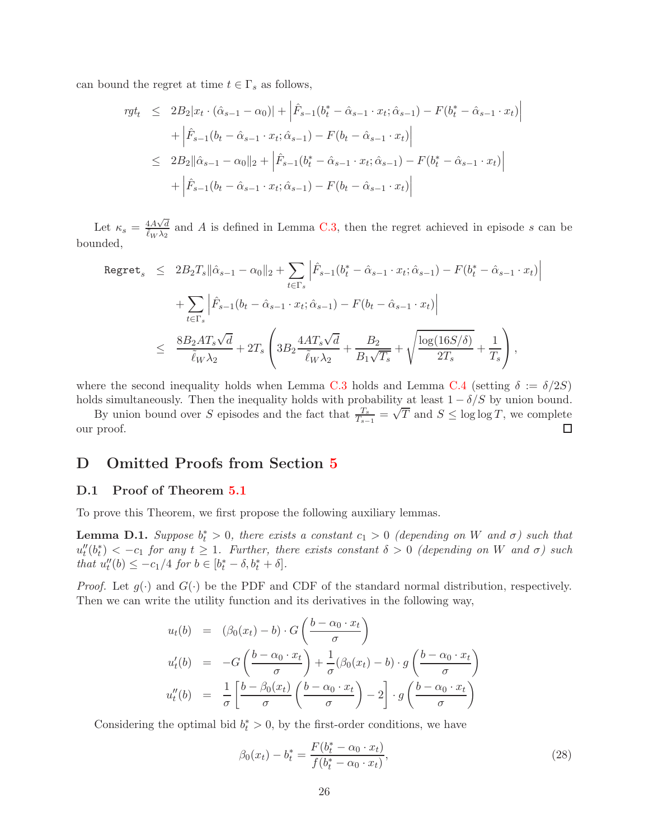can bound the regret at time  $t \in \Gamma_s$  as follows,

$$
rgt_t \leq 2B_2|x_t \cdot (\hat{\alpha}_{s-1} - \alpha_0)| + \left| \hat{F}_{s-1}(b_t^* - \hat{\alpha}_{s-1} \cdot x_t; \hat{\alpha}_{s-1}) - F(b_t^* - \hat{\alpha}_{s-1} \cdot x_t) \right|
$$
  
+ 
$$
\left| \hat{F}_{s-1}(b_t - \hat{\alpha}_{s-1} \cdot x_t; \hat{\alpha}_{s-1}) - F(b_t - \hat{\alpha}_{s-1} \cdot x_t) \right|
$$
  

$$
\leq 2B_2 \|\hat{\alpha}_{s-1} - \alpha_0\|_2 + \left| \hat{F}_{s-1}(b_t^* - \hat{\alpha}_{s-1} \cdot x_t; \hat{\alpha}_{s-1}) - F(b_t^* - \hat{\alpha}_{s-1} \cdot x_t) \right|
$$
  
+ 
$$
\left| \hat{F}_{s-1}(b_t - \hat{\alpha}_{s-1} \cdot x_t; \hat{\alpha}_{s-1}) - F(b_t - \hat{\alpha}_{s-1} \cdot x_t) \right|
$$

Let  $\kappa_s = \frac{4A\sqrt{d}}{\tilde{\ell}_W \lambda_2}$  and A is defined in Lemma [C.3,](#page-21-1) then the regret achieved in episode s can be bounded,

$$
\begin{array}{rcl}\n\text{Regret}_{s} & \leq & 2B_{2}T_{s}\|\hat{\alpha}_{s-1} - \alpha_{0}\|_{2} + \sum_{t \in \Gamma_{s}} \left| \hat{F}_{s-1}(b_{t}^{*} - \hat{\alpha}_{s-1} \cdot x_{t}; \hat{\alpha}_{s-1}) - F(b_{t}^{*} - \hat{\alpha}_{s-1} \cdot x_{t}) \right| \\
& & \quad + \sum_{t \in \Gamma_{s}} \left| \hat{F}_{s-1}(b_{t} - \hat{\alpha}_{s-1} \cdot x_{t}; \hat{\alpha}_{s-1}) - F(b_{t} - \hat{\alpha}_{s-1} \cdot x_{t}) \right| \\
& & \leq & \frac{8B_{2}AT_{s}\sqrt{d}}{\tilde{\ell}_{W}\lambda_{2}} + 2T_{s} \left( 3B_{2} \frac{4AT_{s}\sqrt{d}}{\tilde{\ell}_{W}\lambda_{2}} + \frac{B_{2}}{B_{1}\sqrt{T_{s}}} + \sqrt{\frac{\log(16S/\delta)}{2T_{s}}} + \frac{1}{T_{s}} \right),\n\end{array}
$$

where the second inequality holds when Lemma [C.3](#page-21-1) holds and Lemma [C.4](#page-23-0) (setting  $\delta := \delta/2S$ ) holds simultaneously. Then the inequality holds with probability at least  $1 - \delta/S$  by union bound.

By union bound over S episodes and the fact that  $\frac{T_s}{T_{s-1}} = \sqrt{T}$  and  $S \le \log \log T$ , we complete our proof.

## <span id="page-25-0"></span>D Omitted Proofs from Section [5](#page-10-3)

#### D.1 Proof of Theorem [5.1](#page-10-2)

To prove this Theorem, we first propose the following auxiliary lemmas.

<span id="page-25-1"></span>**Lemma D.1.** Suppose  $b_t^* > 0$ , there exists a constant  $c_1 > 0$  (depending on W and  $\sigma$ ) such that  $u''_t(b^*_t) < -c_1$  for any  $t \geq 1$ . Further, there exists constant  $\delta > 0$  (depending on W and  $\sigma$ ) such that  $u''_t(b) \le -c_1/4$  for  $b \in [b^*_t - \delta, b^*_t + \delta]$ .

*Proof.* Let  $g(\cdot)$  and  $G(\cdot)$  be the PDF and CDF of the standard normal distribution, respectively. Then we can write the utility function and its derivatives in the following way,

$$
u_t(b) = (\beta_0(x_t) - b) \cdot G\left(\frac{b - \alpha_0 \cdot x_t}{\sigma}\right)
$$
  

$$
u'_t(b) = -G\left(\frac{b - \alpha_0 \cdot x_t}{\sigma}\right) + \frac{1}{\sigma}(\beta_0(x_t) - b) \cdot g\left(\frac{b - \alpha_0 \cdot x_t}{\sigma}\right)
$$
  

$$
u''_t(b) = \frac{1}{\sigma} \left[\frac{b - \beta_0(x_t)}{\sigma} \left(\frac{b - \alpha_0 \cdot x_t}{\sigma}\right) - 2\right] \cdot g\left(\frac{b - \alpha_0 \cdot x_t}{\sigma}\right)
$$

Considering the optimal bid  $b_t^* > 0$ , by the first-order conditions, we have

$$
\beta_0(x_t) - b_t^* = \frac{F(b_t^* - \alpha_0 \cdot x_t)}{f(b_t^* - \alpha_0 \cdot x_t)},
$$
\n(28)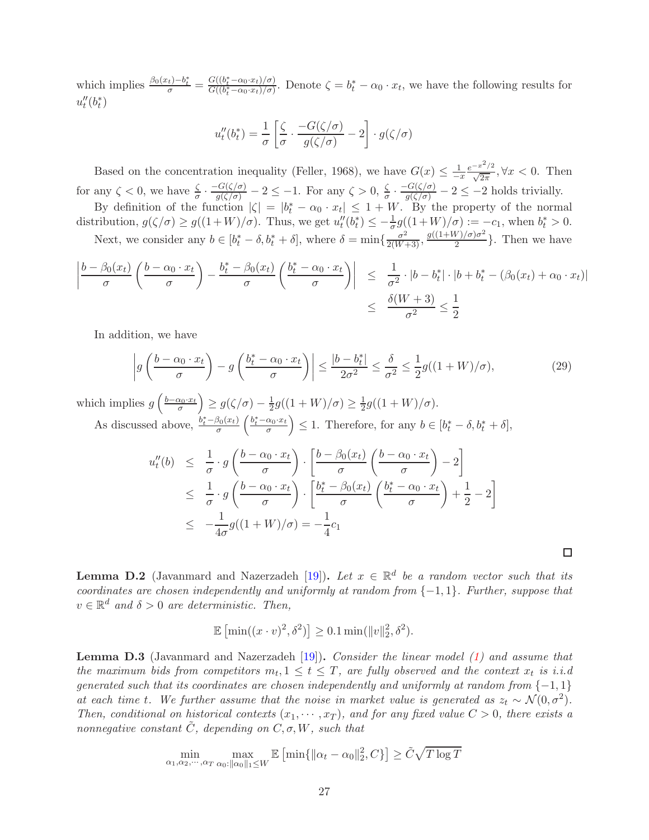which implies  $\frac{\beta_0(x_t)-b_t^*}{\sigma} = \frac{G((b_t^*-\alpha_0\cdot x_t)/\sigma)}{G((b_t^*-\alpha_0\cdot x_t)/\sigma)}$ . Denote  $\zeta = b_t^* - \alpha_0 \cdot x_t$ , we have the following results for  $u''_t(b^*_t)$ 

$$
u''_t(b^*_t) = \frac{1}{\sigma} \left[ \frac{\zeta}{\sigma} \cdot \frac{-G(\zeta/\sigma)}{g(\zeta/\sigma)} - 2 \right] \cdot g(\zeta/\sigma)
$$

Based on the concentration inequality (Feller, 1968), we have  $G(x) \leq \frac{1}{x}$  $-x$  $e^{-x^2/2}$  $\frac{x}{\sqrt{2\pi}}, \forall x < 0$ . Then for any  $\zeta < 0$ , we have  $\frac{\zeta}{\sigma} \cdot \frac{-G(\zeta/\sigma)}{g(\zeta/\sigma)} - 2 \le -1$ . For any  $\zeta > 0$ ,  $\frac{\zeta}{\sigma} \cdot \frac{-G(\zeta/\sigma)}{g(\zeta/\sigma)} - 2 \le -2$  holds trivially. By definition of the function  $|\zeta| = |b_t^* - \alpha_0 \cdot x_t| \leq 1 + W$ . By the property of the normal

distribution,  $g(\zeta/\sigma) \ge g((1+W)/\sigma)$ . Thus, we get  $u_t''(b_t^*) \le -\frac{1}{\sigma}g((1+W)/\sigma) := -c_1$ , when  $b_t^* > 0$ . Next, we consider any  $b \in [b_t^* - \delta, b_t^* + \delta]$ , where  $\delta = \min\{\frac{\sigma^2}{2(W+3)}, \frac{g((1+W)/\sigma)\sigma^2}{2}\}$  $\frac{\sqrt{y}}{2}$ . Then we have

$$
\left| \frac{b - \beta_0(x_t)}{\sigma} \left( \frac{b - \alpha_0 \cdot x_t}{\sigma} \right) - \frac{b_t^* - \beta_0(x_t)}{\sigma} \left( \frac{b_t^* - \alpha_0 \cdot x_t}{\sigma} \right) \right| \leq \frac{1}{\sigma^2} \cdot |b - b_t^*| \cdot |b + b_t^* - (\beta_0(x_t) + \alpha_0 \cdot x_t)|
$$
  

$$
\leq \frac{\delta(W + 3)}{\sigma^2} \leq \frac{1}{2}
$$

In addition, we have

$$
\left| g\left(\frac{b-\alpha_0 \cdot x_t}{\sigma}\right) - g\left(\frac{b_t^* - \alpha_0 \cdot x_t}{\sigma}\right) \right| \le \frac{|b-b_t^*|}{2\sigma^2} \le \frac{\delta}{\sigma^2} \le \frac{1}{2}g((1+W)/\sigma),\tag{29}
$$

which implies  $g\left(\frac{b-\alpha_0 \cdot x_t}{\sigma}\right)$  $\Big) \geq g(\zeta/\sigma) - \frac{1}{2}$  $\frac{1}{2}g((1+W)/\sigma) \geq \frac{1}{2}$  $\frac{1}{2}g((1+W)/\sigma).$ As discussed above,  $\frac{b_t^* - \beta_0(x_t)}{\sigma}$  $\left(\frac{b_t^* - \alpha_0 \cdot x_t}{\sigma}\right)$ ) ≤ 1. Therefore, for any  $b \in [b_t^* - \delta, b_t^* + \delta]$ ,

$$
u''_t(b) \leq \frac{1}{\sigma} \cdot g\left(\frac{b - \alpha_0 \cdot x_t}{\sigma}\right) \cdot \left[\frac{b - \beta_0(x_t)}{\sigma} \left(\frac{b - \alpha_0 \cdot x_t}{\sigma}\right) - 2\right]
$$
  
\n
$$
\leq \frac{1}{\sigma} \cdot g\left(\frac{b - \alpha_0 \cdot x_t}{\sigma}\right) \cdot \left[\frac{b_t^* - \beta_0(x_t)}{\sigma} \left(\frac{b_t^* - \alpha_0 \cdot x_t}{\sigma}\right) + \frac{1}{2} - 2\right]
$$
  
\n
$$
\leq -\frac{1}{4\sigma} g((1+W)/\sigma) = -\frac{1}{4}c_1
$$

 $\Box$ 

<span id="page-26-0"></span>**Lemma D.2** (Javanmard and Nazerzadeh [\[19\]](#page-12-1)). Let  $x \in \mathbb{R}^d$  be a random vector such that its coordinates are chosen independently and uniformly at random from  $\{-1,1\}$ . Further, suppose that  $v \in \mathbb{R}^d$  and  $\delta > 0$  are deterministic. Then,

$$
\mathbb{E}\left[\min((x \cdot v)^2, \delta^2)\right] \ge 0.1 \min(\|v\|_2^2, \delta^2).
$$

**Lemma D.3** (Javanmard and Nazerzadeh [\[19](#page-12-1)]). Consider the linear model [\(1\)](#page-3-2) and assume that the maximum bids from competitors  $m_t, 1 \le t \le T$ , are fully observed and the context  $x_t$  is i.i.d generated such that its coordinates are chosen independently and uniformly at random from  $\{-1,1\}$ at each time t. We further assume that the noise in market value is generated as  $z_t \sim \mathcal{N}(0, \sigma^2)$ . Then, conditional on historical contexts  $(x_1, \dots, x_T)$ , and for any fixed value  $C > 0$ , there exists a nonnegative constant  $\tilde{C}$ , depending on  $C, \sigma, W$ , such that

$$
\min_{\alpha_1, \alpha_2, \cdots, \alpha_T} \max_{\alpha_0: ||\alpha_0||_1 \le W} \mathbb{E}\left[\min\{||\alpha_t - \alpha_0||_2^2, C\}\right] \ge \tilde{C}\sqrt{T \log T}
$$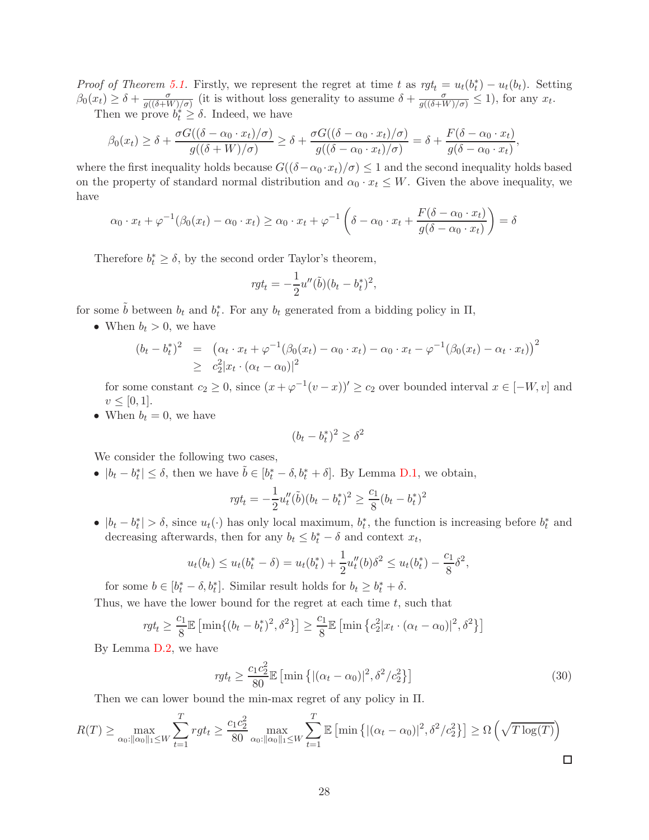*Proof of Theorem [5.1.](#page-10-2)* Firstly, we represent the regret at time t as  $rgt_t = u_t(b_t^*) - u_t(b_t)$ . Setting  $\beta_0(x_t) \geq \delta + \frac{\sigma}{g((\delta + V))}$  $\frac{\sigma}{g((\delta+W)/\sigma)}$  (it is without loss generality to assume  $\delta + \frac{\sigma}{g((\delta+W)/\sigma)} \leq 1$ ), for any  $x_t$ .

Then we prove  $b_t^* \geq \delta$ . Indeed, we have

$$
\beta_0(x_t) \geq \delta + \frac{\sigma G((\delta - \alpha_0 \cdot x_t)/\sigma)}{g((\delta + W)/\sigma)} \geq \delta + \frac{\sigma G((\delta - \alpha_0 \cdot x_t)/\sigma)}{g((\delta - \alpha_0 \cdot x_t)/\sigma)} = \delta + \frac{F(\delta - \alpha_0 \cdot x_t)}{g(\delta - \alpha_0 \cdot x_t)},
$$

where the first inequality holds because  $G((\delta - \alpha_0 \cdot x_t)/\sigma) \leq 1$  and the second inequality holds based on the property of standard normal distribution and  $\alpha_0 \cdot x_t \leq W$ . Given the above inequality, we have

$$
\alpha_0 \cdot x_t + \varphi^{-1}(\beta_0(x_t) - \alpha_0 \cdot x_t) \ge \alpha_0 \cdot x_t + \varphi^{-1} \left( \delta - \alpha_0 \cdot x_t + \frac{F(\delta - \alpha_0 \cdot x_t)}{g(\delta - \alpha_0 \cdot x_t)} \right) = \delta
$$

Therefore  $b_t^* \geq \delta$ , by the second order Taylor's theorem,

$$
rgt_t = -\frac{1}{2}u''(\tilde{b})(b_t - b_t^*)^2,
$$

for some  $\tilde{b}$  between  $b_t$  and  $b_t^*$ . For any  $b_t$  generated from a bidding policy in  $\Pi$ ,

• When  $b_t > 0$ , we have

$$
(b_t - b_t^*)^2 = (\alpha_t \cdot x_t + \varphi^{-1}(\beta_0(x_t) - \alpha_0 \cdot x_t) - \alpha_0 \cdot x_t - \varphi^{-1}(\beta_0(x_t) - \alpha_t \cdot x_t))^2
$$
  
 
$$
\geq c_2^2 |x_t \cdot (\alpha_t - \alpha_0)|^2
$$

for some constant  $c_2 \geq 0$ , since  $(x + \varphi^{-1}(v - x))' \geq c_2$  over bounded interval  $x \in [-W, v]$  and  $v \le [0, 1].$ 

• When  $b_t = 0$ , we have

$$
(b_t - b_t^*)^2 \ge \delta^2
$$

We consider the following two cases,

•  $|b_t - b_t^*| \leq \delta$ , then we have  $\tilde{b} \in [b_t^* - \delta, b_t^* + \delta]$ . By Lemma [D.1,](#page-25-1) we obtain,

$$
rgt_t = -\frac{1}{2}u_t''(\tilde{b})(b_t - b_t^*)^2 \ge \frac{c_1}{8}(b_t - b_t^*)^2
$$

•  $|b_t - b_t^*| > \delta$ , since  $u_t(\cdot)$  has only local maximum,  $b_t^*$ , the function is increasing before  $b_t^*$  and decreasing afterwards, then for any  $b_t \leq b_t^* - \delta$  and context  $x_t$ ,

$$
u_t(b_t) \le u_t(b_t^* - \delta) = u_t(b_t^*) + \frac{1}{2}u_t''(b)\delta^2 \le u_t(b_t^*) - \frac{c_1}{8}\delta^2,
$$

for some  $b \in [b_t^* - \delta, b_t^*]$ . Similar result holds for  $b_t \geq b_t^* + \delta$ . Thus, we have the lower bound for the regret at each time  $t$ , such that

$$
rgt_t \ge \frac{c_1}{8} \mathbb{E} \left[ \min\{ (b_t - b_t^*)^2, \delta^2 \} \right] \ge \frac{c_1}{8} \mathbb{E} \left[ \min\left\{ c_2^2 | x_t \cdot (\alpha_t - \alpha_0) |^2, \delta^2 \right\} \right]
$$

By Lemma [D.2,](#page-26-0) we have

$$
rgt_t \ge \frac{c_1 c_2^2}{80} \mathbb{E} \left[ \min \left\{ |(\alpha_t - \alpha_0)|^2, \delta^2 / c_2^2 \right\} \right] \tag{30}
$$

Then we can lower bound the min-max regret of any policy in Π.

$$
R(T) \ge \max_{\alpha_0: \|\alpha_0\|_1 \le W} \sum_{t=1}^T rgt_t \ge \frac{c_1c_2^2}{80} \max_{\alpha_0: \|\alpha_0\|_1 \le W} \sum_{t=1}^T \mathbb{E} \left[ \min \left\{ |(\alpha_t - \alpha_0)|^2, \delta^2/c_2^2 \right\} \right] \ge \Omega \left( \sqrt{T \log(T)} \right)
$$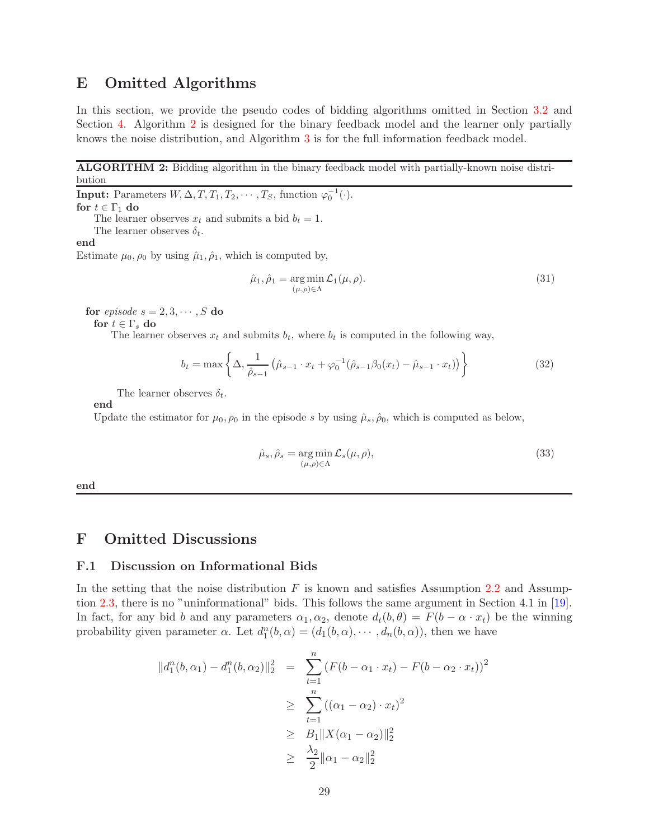## <span id="page-28-1"></span>E Omitted Algorithms

In this section, we provide the pseudo codes of bidding algorithms omitted in Section [3.2](#page-6-2) and Section [4.](#page-8-3) Algorithm [2](#page-28-0) is designed for the binary feedback model and the learner only partially knows the noise distribution, and Algorithm [3](#page-29-0) is for the full information feedback model.

ALGORITHM 2: Bidding algorithm in the binary feedback model with partially-known noise distribution

**Input:** Parameters  $W, \Delta, T, T_1, T_2, \cdots, T_S$ , function  $\varphi_0^{-1}(\cdot)$ . for  $t \in \Gamma_1$  do The learner observes  $x_t$  and submits a bid  $b_t = 1$ . The learner observes  $\delta_t$ . end

Estimate  $\mu_0$ ,  $\rho_0$  by using  $\hat{\mu}_1$ ,  $\hat{\rho}_1$ , which is computed by,

$$
\hat{\mu}_1, \hat{\rho}_1 = \underset{(\mu,\rho)\in\Lambda}{\arg\min} \mathcal{L}_1(\mu,\rho). \tag{31}
$$

for *episode*  $s = 2, 3, \dots, S$  do

for  $t \in \Gamma_s$  do

The learner observes  $x_t$  and submits  $b_t$ , where  $b_t$  is computed in the following way,

$$
b_t = \max\left\{\Delta, \frac{1}{\hat{\rho}_{s-1}}\left(\hat{\mu}_{s-1} \cdot x_t + \varphi_0^{-1}(\hat{\rho}_{s-1}\beta_0(x_t) - \hat{\mu}_{s-1} \cdot x_t)\right)\right\}
$$
(32)

The learner observes  $\delta_t$ .

end

Update the estimator for  $\mu_0, \rho_0$  in the episode s by using  $\hat{\mu}_s, \hat{\rho}_0$ , which is computed as below,

$$
\hat{\mu}_s, \hat{\rho}_s = \underset{(\mu,\rho)\in\Lambda}{\arg\min} \mathcal{L}_s(\mu,\rho),\tag{33}
$$

<span id="page-28-0"></span>end

### <span id="page-28-2"></span>F Omitted Discussions

### F.1 Discussion on Informational Bids

In the setting that the noise distribution  $F$  is known and satisfies Assumption [2.2](#page-4-3) and Assumption [2.3,](#page-4-4) there is no "uninformational" bids. This follows the same argument in Section 4.1 in [\[19\]](#page-12-1). In fact, for any bid b and any parameters  $\alpha_1, \alpha_2$ , denote  $d_t(b, \theta) = F(b - \alpha \cdot x_t)$  be the winning probability given parameter  $\alpha$ . Let  $d_1^n(b, \alpha) = (d_1(b, \alpha), \cdots, d_n(b, \alpha))$ , then we have

$$
||d_1^n(b, \alpha_1) - d_1^n(b, \alpha_2)||_2^2 = \sum_{t=1}^n (F(b - \alpha_1 \cdot x_t) - F(b - \alpha_2 \cdot x_t))^2
$$
  
\n
$$
\geq \sum_{t=1}^n ((\alpha_1 - \alpha_2) \cdot x_t)^2
$$
  
\n
$$
\geq B_1 ||X(\alpha_1 - \alpha_2)||_2^2
$$
  
\n
$$
\geq \frac{\lambda_2}{2} ||\alpha_1 - \alpha_2||_2^2
$$